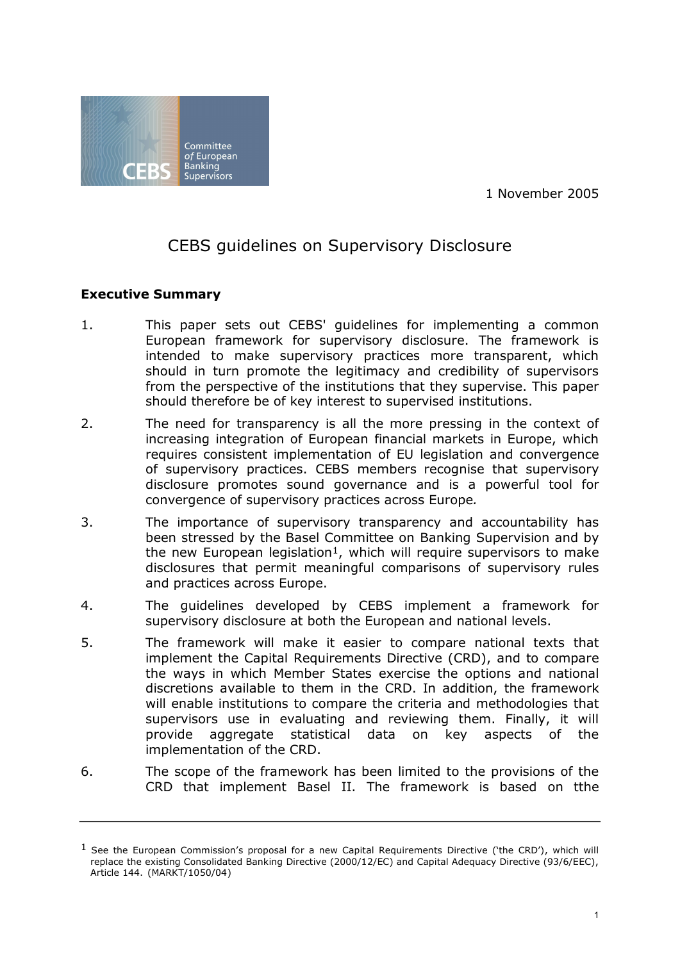1 November 2005



# CEBS guidelines on Supervisory Disclosure

## **Executive Summary**

- 1. This paper sets out CEBS' guidelines for implementing a common European framework for supervisory disclosure. The framework is intended to make supervisory practices more transparent, which should in turn promote the legitimacy and credibility of supervisors from the perspective of the institutions that they supervise. This paper should therefore be of key interest to supervised institutions.
- 2. The need for transparency is all the more pressing in the context of increasing integration of European financial markets in Europe, which requires consistent implementation of EU legislation and convergence of supervisory practices. CEBS members recognise that supervisory disclosure promotes sound governance and is a powerful tool for convergence of supervisory practices across Europe*.*
- 3. The importance of supervisory transparency and accountability has been stressed by the Basel Committee on Banking Supervision and by the new European legislation<sup>1</sup>, which will require supervisors to make disclosures that permit meaningful comparisons of supervisory rules and practices across Europe.
- 4. The guidelines developed by CEBS implement a framework for supervisory disclosure at both the European and national levels.
- 5. The framework will make it easier to compare national texts that implement the Capital Requirements Directive (CRD), and to compare the ways in which Member States exercise the options and national discretions available to them in the CRD. In addition, the framework will enable institutions to compare the criteria and methodologies that supervisors use in evaluating and reviewing them. Finally, it will provide aggregate statistical data on key aspects of the implementation of the CRD.
- 6. The scope of the framework has been limited to the provisions of the CRD that implement Basel II. The framework is based on tthe

 $<sup>1</sup>$  See the European Commission's proposal for a new Capital Requirements Directive ('the CRD'), which will</sup> replace the existing Consolidated Banking Directive (2000/12/EC) and Capital Adequacy Directive (93/6/EEC), Article 144. (MARKT/1050/04)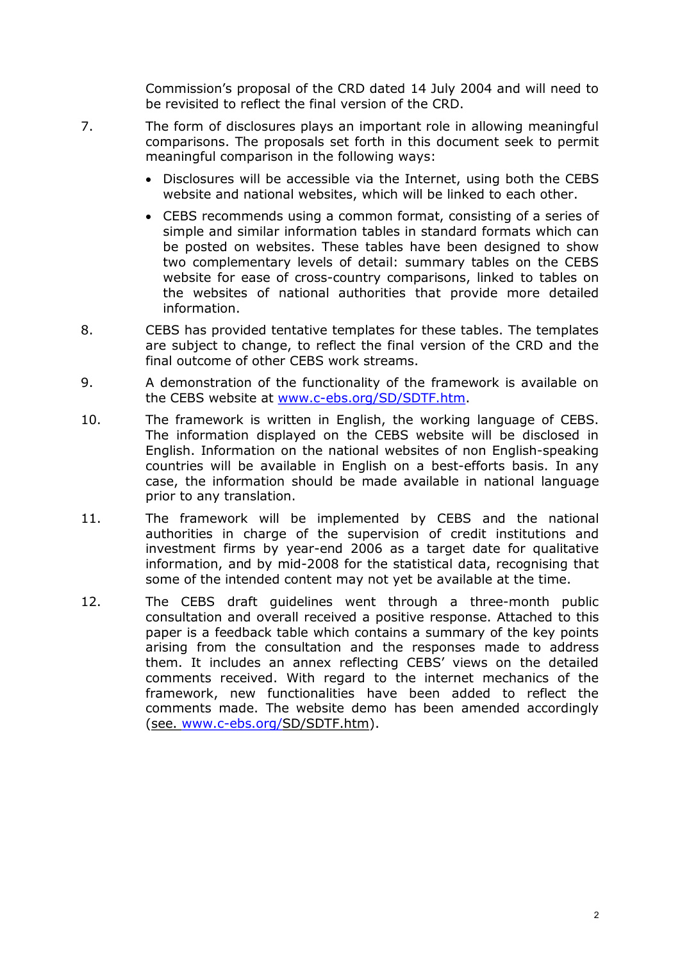Commission's proposal of the CRD dated 14 July 2004 and will need to be revisited to reflect the final version of the CRD.

- 7. The form of disclosures plays an important role in allowing meaningful comparisons. The proposals set forth in this document seek to permit meaningful comparison in the following ways:
	- · Disclosures will be accessible via the Internet, using both the CEBS website and national websites, which will be linked to each other.
	- · CEBS recommends using a common format, consisting of a series of simple and similar information tables in standard formats which can be posted on websites. These tables have been designed to show two complementary levels of detail: summary tables on the CEBS website for ease of cross-country comparisons, linked to tables on the websites of national authorities that provide more detailed information.
- 8. CEBS has provided tentative templates for these tables. The templates are subject to change, to reflect the final version of the CRD and the final outcome of other CEBS work streams.
- 9. A demonstration of the functionality of the framework is available on the CEBS website at www.c-ebs.org/SD/SDTF.htm.
- 10. The framework is written in English, the working language of CEBS. The information displayed on the CEBS website will be disclosed in English. Information on the national websites of non English-speaking countries will be available in English on a best-efforts basis. In any case, the information should be made available in national language prior to any translation.
- 11. The framework will be implemented by CEBS and the national authorities in charge of the supervision of credit institutions and investment firms by year-end 2006 as a target date for qualitative information, and by mid-2008 for the statistical data, recognising that some of the intended content may not yet be available at the time.
- 12. The CEBS draft guidelines went through a three-month public consultation and overall received a positive response. Attached to this paper is a feedback table which contains a summary of the key points arising from the consultation and the responses made to address them. It includes an annex reflecting CEBS' views on the detailed comments received. With regard to the internet mechanics of the framework, new functionalities have been added to reflect the comments made. The website demo has been amended accordingly (see. www.c-ebs.org/SD/SDTF.htm).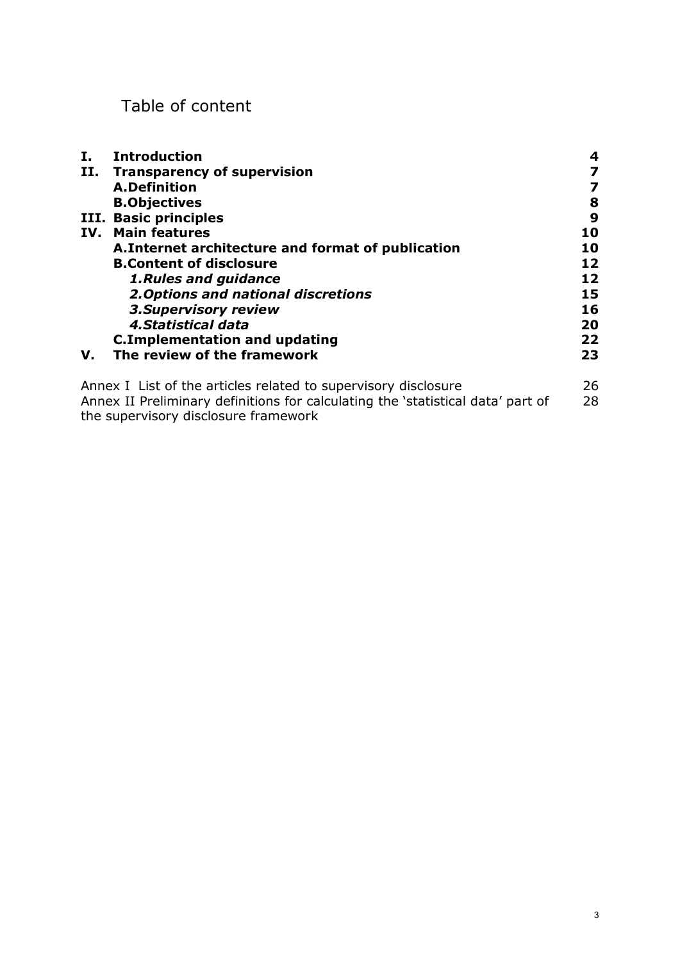## Table of content

the supervisory disclosure framework

| Ι.                                                             | <b>Introduction</b>                                                             | 4  |
|----------------------------------------------------------------|---------------------------------------------------------------------------------|----|
| П.                                                             | <b>Transparency of supervision</b>                                              |    |
|                                                                | <b>A.Definition</b>                                                             | 7  |
|                                                                | <b>B.Objectives</b>                                                             | 8  |
|                                                                | III. Basic principles                                                           | 9  |
| IV.                                                            | <b>Main features</b>                                                            | 10 |
|                                                                | A. Internet architecture and format of publication                              | 10 |
|                                                                | <b>B.Content of disclosure</b>                                                  | 12 |
|                                                                | <b>1. Rules and guidance</b>                                                    | 12 |
|                                                                | 2. Options and national discretions                                             | 15 |
|                                                                | <b>3. Supervisory review</b>                                                    | 16 |
|                                                                | 4. Statistical data                                                             | 20 |
|                                                                | <b>C.Implementation and updating</b>                                            | 22 |
| V.                                                             | The review of the framework                                                     | 23 |
| Annex I List of the articles related to supervisory disclosure |                                                                                 | 26 |
|                                                                | Annex II Preliminary definitions for calculating the 'statistical data' part of | 28 |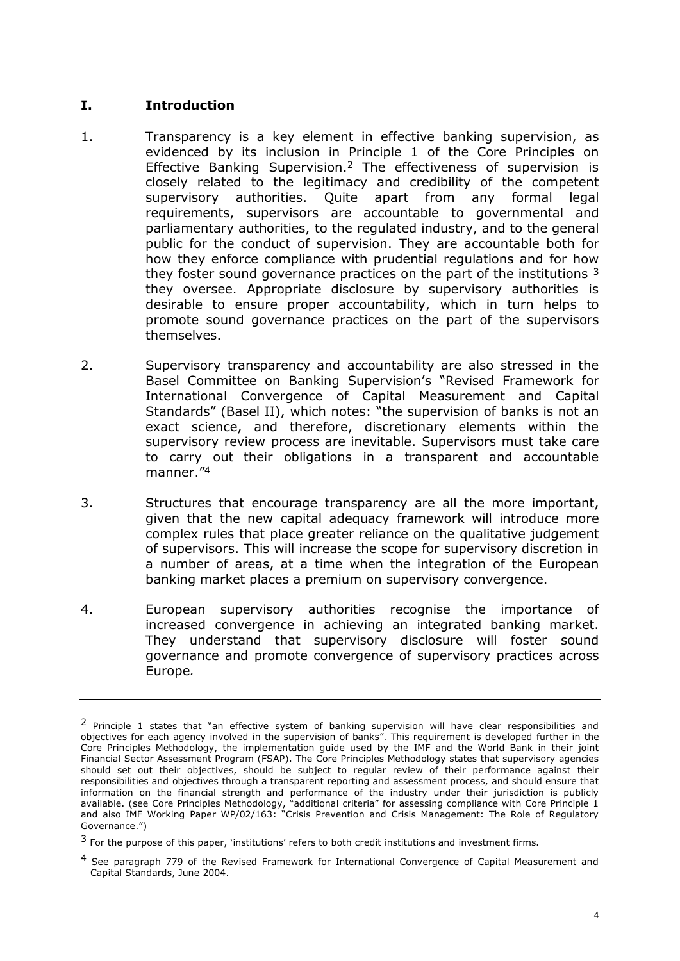#### **I. Introduction**

- 1. Transparency is a key element in effective banking supervision, as evidenced by its inclusion in Principle 1 of the Core Principles on Effective Banking Supervision.<sup>2</sup> The effectiveness of supervision is closely related to the legitimacy and credibility of the competent supervisory authorities. Quite apart from any formal legal requirements, supervisors are accountable to governmental and parliamentary authorities, to the regulated industry, and to the general public for the conduct of supervision. They are accountable both for how they enforce compliance with prudential regulations and for how they foster sound governance practices on the part of the institutions <sup>3</sup> they oversee. Appropriate disclosure by supervisory authorities is desirable to ensure proper accountability, which in turn helps to promote sound governance practices on the part of the supervisors themselves.
- 2. Supervisory transparency and accountability are also stressed in the Basel Committee on Banking Supervision's "Revised Framework for International Convergence of Capital Measurement and Capital Standards" (Basel II), which notes: "the supervision of banks is not an exact science, and therefore, discretionary elements within the supervisory review process are inevitable. Supervisors must take care to carry out their obligations in a transparent and accountable manner."<sup>4</sup>
- 3. Structures that encourage transparency are all the more important, given that the new capital adequacy framework will introduce more complex rules that place greater reliance on the qualitative judgement of supervisors. This will increase the scope for supervisory discretion in a number of areas, at a time when the integration of the European banking market places a premium on supervisory convergence.
- 4. European supervisory authorities recognise the importance of increased convergence in achieving an integrated banking market. They understand that supervisory disclosure will foster sound governance and promote convergence of supervisory practices across Europe*.*

<sup>&</sup>lt;sup>2</sup> Principle 1 states that "an effective system of banking supervision will have clear responsibilities and objectives for each agency involved in the supervision of banks". This requirement is developed further in the Core Principles Methodology, the implementation guide used by the IMF and the World Bank in their joint Financial Sector Assessment Program (FSAP). The Core Principles Methodology states that supervisory agencies should set out their objectives, should be subject to regular review of their performance against their responsibilities and objectives through a transparent reporting and assessment process, and should ensure that information on the financial strength and performance of the industry under their jurisdiction is publicly available. (see Core Principles Methodology, "additional criteria" for assessing compliance with Core Principle 1 and also IMF Working Paper WP/02/163: "Crisis Prevention and Crisis Management: The Role of Regulatory Governance.")

<sup>&</sup>lt;sup>3</sup> For the purpose of this paper, 'institutions' refers to both credit institutions and investment firms.

<sup>4</sup>  See paragraph 779 of the Revised Framework for International Convergence of Capital Measurement and Capital Standards, June 2004.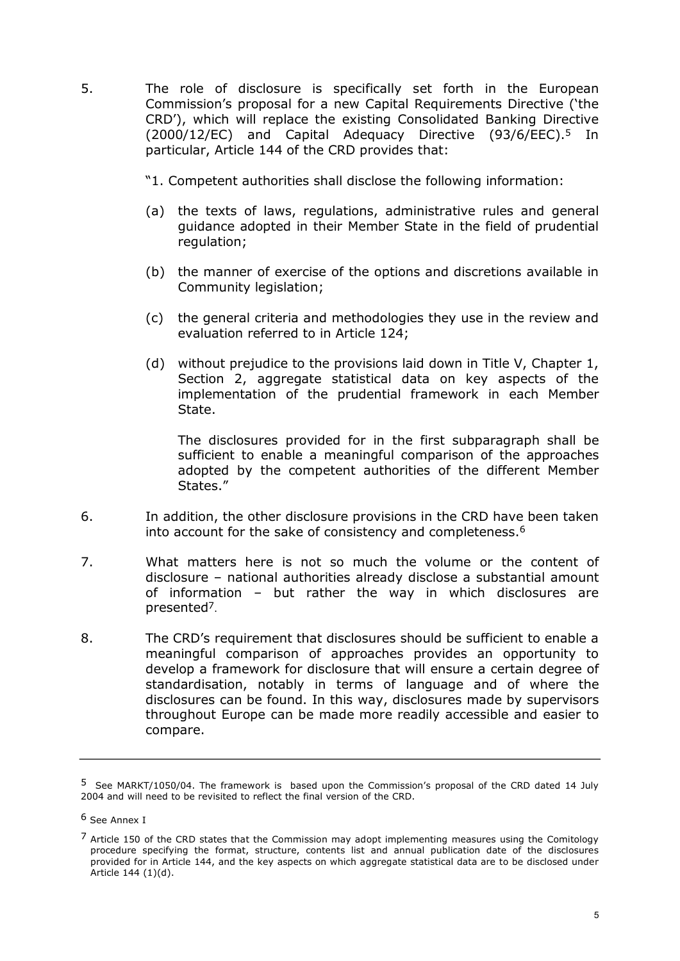- 5. The role of disclosure is specifically set forth in the European Commission's proposal for a new Capital Requirements Directive ('the CRD'), which will replace the existing Consolidated Banking Directive (2000/12/EC) and Capital Adequacy Directive (93/6/EEC).<sup>5</sup> In particular, Article 144 of the CRD provides that:
	- "1. Competent authorities shall disclose the following information:
	- (a) the texts of laws, regulations, administrative rules and general guidance adopted in their Member State in the field of prudential regulation;
	- (b) the manner of exercise of the options and discretions available in Community legislation;
	- (c) the general criteria and methodologies they use in the review and evaluation referred to in Article 124;
	- (d) without prejudice to the provisions laid down in Title V, Chapter 1, Section 2, aggregate statistical data on key aspects of the implementation of the prudential framework in each Member State.

The disclosures provided for in the first subparagraph shall be sufficient to enable a meaningful comparison of the approaches adopted by the competent authorities of the different Member States."

- 6. In addition, the other disclosure provisions in the CRD have been taken into account for the sake of consistency and completeness.<sup>6</sup>
- 7. What matters here is not so much the volume or the content of disclosure – national authorities already disclose a substantial amount of information – but rather the way in which disclosures are presented7 .
- 8. The CRD's requirement that disclosures should be sufficient to enable a meaningful comparison of approaches provides an opportunity to develop a framework for disclosure that will ensure a certain degree of standardisation, notably in terms of language and of where the disclosures can be found. In this way, disclosures made by supervisors throughout Europe can be made more readily accessible and easier to compare.

<sup>5</sup>  See MARKT/1050/04. The framework is based upon the Commission's proposal of the CRD dated 14 July 2004 and will need to be revisited to reflect the final version of the CRD.

<sup>6</sup> See Annex I

 $<sup>7</sup>$  Article 150 of the CRD states that the Commission may adopt implementing measures using the Comitology</sup> procedure specifying the format, structure, contents list and annual publication date of the disclosures provided for in Article 144, and the key aspects on which aggregate statistical data are to be disclosed under Article 144 (1)(d).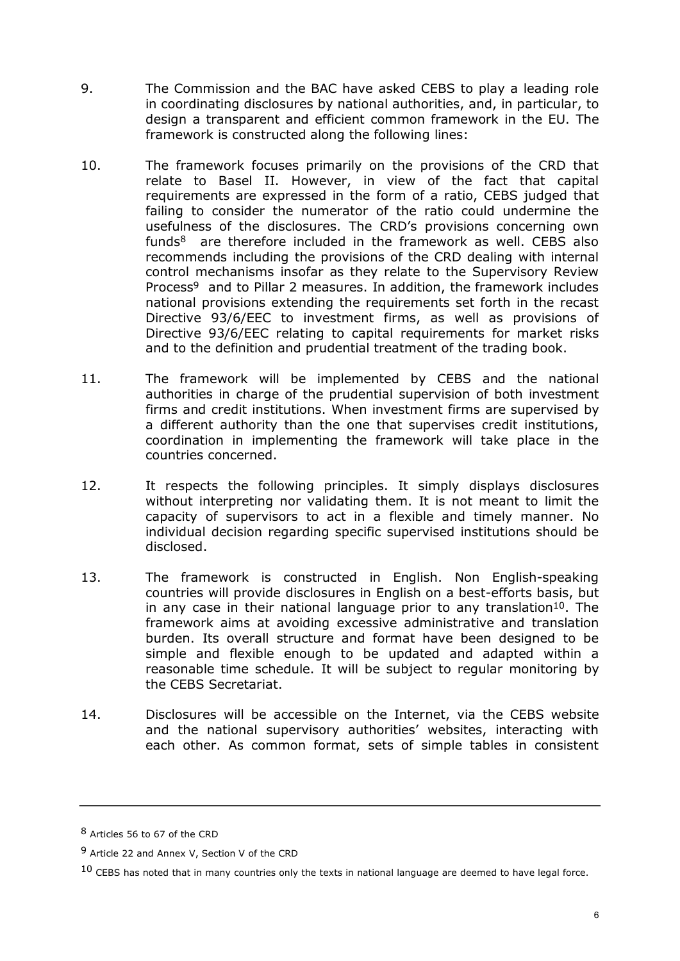- 9. The Commission and the BAC have asked CEBS to play a leading role in coordinating disclosures by national authorities, and, in particular, to design a transparent and efficient common framework in the EU. The framework is constructed along the following lines:
- 10. The framework focuses primarily on the provisions of the CRD that relate to Basel II. However, in view of the fact that capital requirements are expressed in the form of a ratio, CEBS judged that failing to consider the numerator of the ratio could undermine the usefulness of the disclosures. The CRD's provisions concerning own funds $8$  are therefore included in the framework as well. CEBS also recommends including the provisions of the CRD dealing with internal control mechanisms insofar as they relate to the Supervisory Review Process<sup>9</sup> and to Pillar 2 measures. In addition, the framework includes national provisions extending the requirements set forth in the recast Directive 93/6/EEC to investment firms, as well as provisions of Directive 93/6/EEC relating to capital requirements for market risks and to the definition and prudential treatment of the trading book.
- 11. The framework will be implemented by CEBS and the national authorities in charge of the prudential supervision of both investment firms and credit institutions. When investment firms are supervised by a different authority than the one that supervises credit institutions, coordination in implementing the framework will take place in the countries concerned.
- 12. It respects the following principles. It simply displays disclosures without interpreting nor validating them. It is not meant to limit the capacity of supervisors to act in a flexible and timely manner. No individual decision regarding specific supervised institutions should be disclosed.
- 13. The framework is constructed in English. Non English-speaking countries will provide disclosures in English on a best-efforts basis, but in any case in their national language prior to any translation<sup>10</sup>. The framework aims at avoiding excessive administrative and translation burden. Its overall structure and format have been designed to be simple and flexible enough to be updated and adapted within a reasonable time schedule. It will be subject to regular monitoring by the CEBS Secretariat.
- 14. Disclosures will be accessible on the Internet, via the CEBS website and the national supervisory authorities' websites, interacting with each other. As common format, sets of simple tables in consistent

<sup>8</sup> Articles 56 to 67 of the CRD

<sup>9</sup> Article 22 and Annex V, Section V of the CRD

 $10$  CEBS has noted that in many countries only the texts in national language are deemed to have legal force.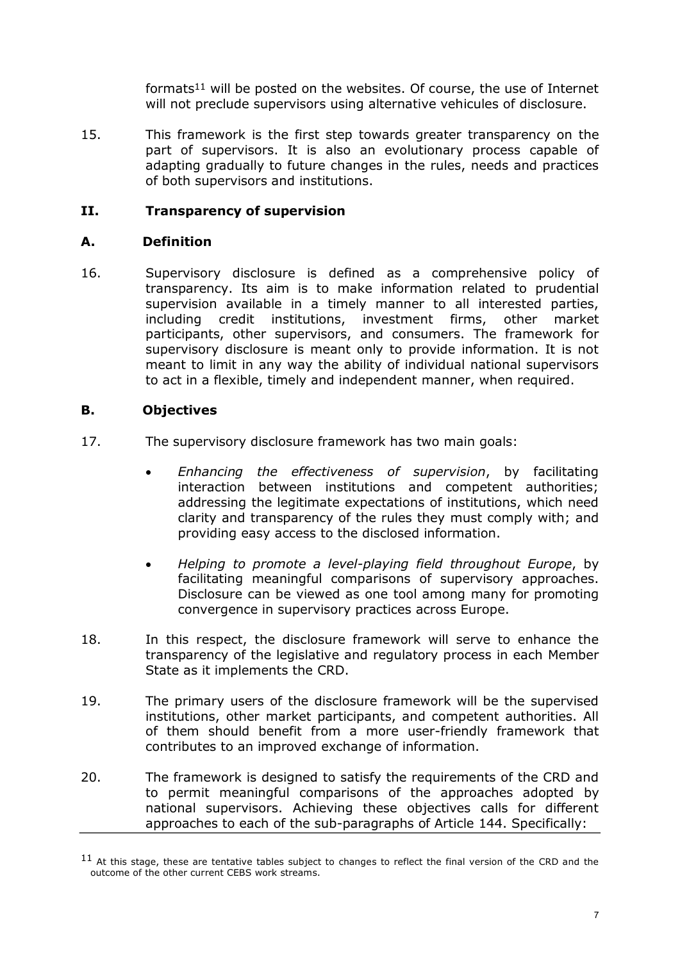formats<sup>11</sup> will be posted on the websites. Of course, the use of Internet will not preclude supervisors using alternative vehicules of disclosure.

15. This framework is the first step towards greater transparency on the part of supervisors. It is also an evolutionary process capable of adapting gradually to future changes in the rules, needs and practices of both supervisors and institutions.

## **II. Transparency of supervision**

### **A. Definition**

16. Supervisory disclosure is defined as a comprehensive policy of transparency. Its aim is to make information related to prudential supervision available in a timely manner to all interested parties, including credit institutions, investment firms, other market participants, other supervisors, and consumers. The framework for supervisory disclosure is meant only to provide information. It is not meant to limit in any way the ability of individual national supervisors to act in a flexible, timely and independent manner, when required.

## **B. Objectives**

- 17. The supervisory disclosure framework has two main goals:
	- · *Enhancing the effectiveness of supervision*, by facilitating interaction between institutions and competent authorities; addressing the legitimate expectations of institutions, which need clarity and transparency of the rules they must comply with; and providing easy access to the disclosed information.
	- · *Helping to promote a levelplaying field throughout Europe*, by facilitating meaningful comparisons of supervisory approaches. Disclosure can be viewed as one tool among many for promoting convergence in supervisory practices across Europe.
- 18. In this respect, the disclosure framework will serve to enhance the transparency of the legislative and regulatory process in each Member State as it implements the CRD.
- 19. The primary users of the disclosure framework will be the supervised institutions, other market participants, and competent authorities. All of them should benefit from a more user-friendly framework that contributes to an improved exchange of information.
- 20. The framework is designed to satisfy the requirements of the CRD and to permit meaningful comparisons of the approaches adopted by national supervisors. Achieving these objectives calls for different approaches to each of the sub-paragraphs of Article 144. Specifically:

<sup>&</sup>lt;sup>11</sup> At this stage, these are tentative tables subject to changes to reflect the final version of the CRD and the outcome of the other current CEBS work streams.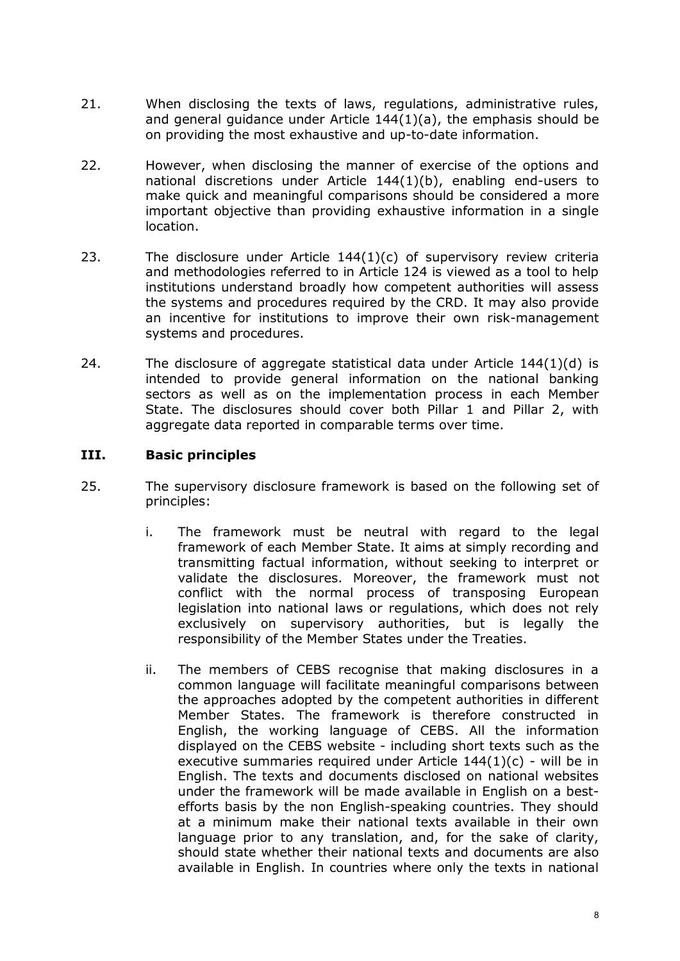- 21. When disclosing the texts of laws, regulations, administrative rules, and general guidance under Article 144(1)(a), the emphasis should be on providing the most exhaustive and up-to-date information.
- 22. However, when disclosing the manner of exercise of the options and national discretions under Article  $144(1)(b)$ , enabling end-users to make quick and meaningful comparisons should be considered a more important objective than providing exhaustive information in a single location.
- 23. The disclosure under Article  $144(1)(c)$  of supervisory review criteria and methodologies referred to in Article 124 is viewed as a tool to help institutions understand broadly how competent authorities will assess the systems and procedures required by the CRD. It may also provide an incentive for institutions to improve their own risk-management systems and procedures.
- 24. The disclosure of aggregate statistical data under Article  $144(1)(d)$  is intended to provide general information on the national banking sectors as well as on the implementation process in each Member State. The disclosures should cover both Pillar 1 and Pillar 2, with aggregate data reported in comparable terms over time.

#### **III. Basic principles**

- 25. The supervisory disclosure framework is based on the following set of principles:
	- i. The framework must be neutral with regard to the legal framework of each Member State. It aims at simply recording and transmitting factual information, without seeking to interpret or validate the disclosures. Moreover, the framework must not conflict with the normal process of transposing European legislation into national laws or regulations, which does not rely exclusively on supervisory authorities, but is legally the responsibility of the Member States under the Treaties.
	- ii. The members of CEBS recognise that making disclosures in a common language will facilitate meaningful comparisons between the approaches adopted by the competent authorities in different Member States. The framework is therefore constructed in English, the working language of CEBS. All the information displayed on the CEBS website including short texts such as the executive summaries required under Article  $144(1)(c)$  - will be in English. The texts and documents disclosed on national websites under the framework will be made available in English on a best efforts basis by the non English-speaking countries. They should at a minimum make their national texts available in their own language prior to any translation, and, for the sake of clarity, should state whether their national texts and documents are also available in English. In countries where only the texts in national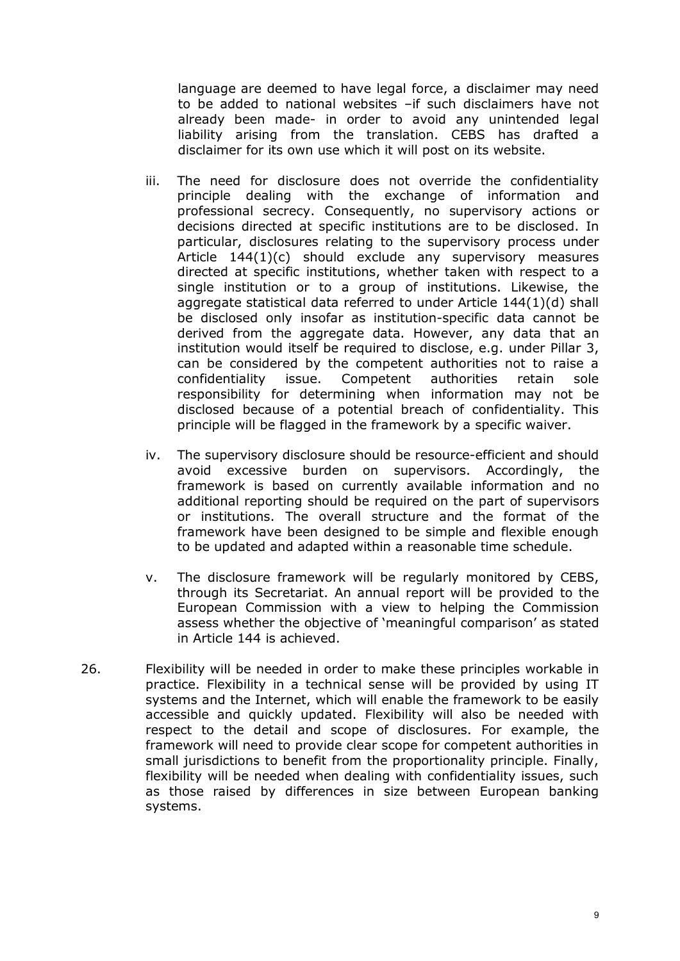language are deemed to have legal force, a disclaimer may need to be added to national websites –if such disclaimers have not already been made- in order to avoid any unintended legal liability arising from the translation. CEBS has drafted a disclaimer for its own use which it will post on its website.

- iii. The need for disclosure does not override the confidentiality principle dealing with the exchange of information and professional secrecy. Consequently, no supervisory actions or decisions directed at specific institutions are to be disclosed. In particular, disclosures relating to the supervisory process under Article 144(1)(c) should exclude any supervisory measures directed at specific institutions, whether taken with respect to a single institution or to a group of institutions. Likewise, the aggregate statistical data referred to under Article 144(1)(d) shall be disclosed only insofar as institution-specific data cannot be derived from the aggregate data. However, any data that an institution would itself be required to disclose, e.g. under Pillar 3, can be considered by the competent authorities not to raise a confidentiality issue. Competent authorities retain sole responsibility for determining when information may not be disclosed because of a potential breach of confidentiality. This principle will be flagged in the framework by a specific waiver.
- iv. The supervisory disclosure should be resource-efficient and should avoid excessive burden on supervisors. Accordingly, the framework is based on currently available information and no additional reporting should be required on the part of supervisors or institutions. The overall structure and the format of the framework have been designed to be simple and flexible enough to be updated and adapted within a reasonable time schedule.
- v. The disclosure framework will be regularly monitored by CEBS, through its Secretariat. An annual report will be provided to the European Commission with a view to helping the Commission assess whether the objective of 'meaningful comparison' as stated in Article 144 is achieved.
- 26. Flexibility will be needed in order to make these principles workable in practice. Flexibility in a technical sense will be provided by using IT systems and the Internet, which will enable the framework to be easily accessible and quickly updated. Flexibility will also be needed with respect to the detail and scope of disclosures. For example, the framework will need to provide clear scope for competent authorities in small jurisdictions to benefit from the proportionality principle. Finally, flexibility will be needed when dealing with confidentiality issues, such as those raised by differences in size between European banking systems.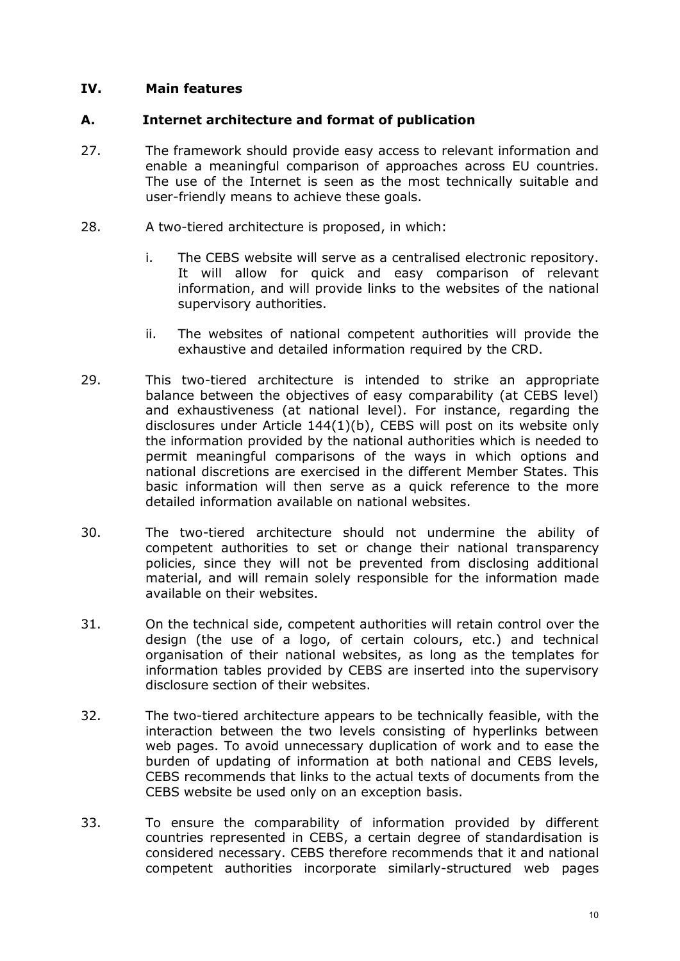### **IV. Main features**

#### **A. Internet architecture and format of publication**

- 27. The framework should provide easy access to relevant information and enable a meaningful comparison of approaches across EU countries. The use of the Internet is seen as the most technically suitable and user-friendly means to achieve these goals.
- 28. A two-tiered architecture is proposed, in which:
	- i. The CEBS website will serve as a centralised electronic repository. It will allow for quick and easy comparison of relevant information, and will provide links to the websites of the national supervisory authorities.
	- ii. The websites of national competent authorities will provide the exhaustive and detailed information required by the CRD.
- 29. This two-tiered architecture is intended to strike an appropriate balance between the objectives of easy comparability (at CEBS level) and exhaustiveness (at national level). For instance, regarding the disclosures under Article 144(1)(b), CEBS will post on its website only the information provided by the national authorities which is needed to permit meaningful comparisons of the ways in which options and national discretions are exercised in the different Member States. This basic information will then serve as a quick reference to the more detailed information available on national websites.
- 30. The two-tiered architecture should not undermine the ability of competent authorities to set or change their national transparency policies, since they will not be prevented from disclosing additional material, and will remain solely responsible for the information made available on their websites.
- 31. On the technical side, competent authorities will retain control over the design (the use of a logo, of certain colours, etc.) and technical organisation of their national websites, as long as the templates for information tables provided by CEBS are inserted into the supervisory disclosure section of their websites.
- 32. The two-tiered architecture appears to be technically feasible, with the interaction between the two levels consisting of hyperlinks between web pages. To avoid unnecessary duplication of work and to ease the burden of updating of information at both national and CEBS levels, CEBS recommends that links to the actual texts of documents from the CEBS website be used only on an exception basis.
- 33. To ensure the comparability of information provided by different countries represented in CEBS, a certain degree of standardisation is considered necessary. CEBS therefore recommends that it and national competent authorities incorporate similarly-structured web pages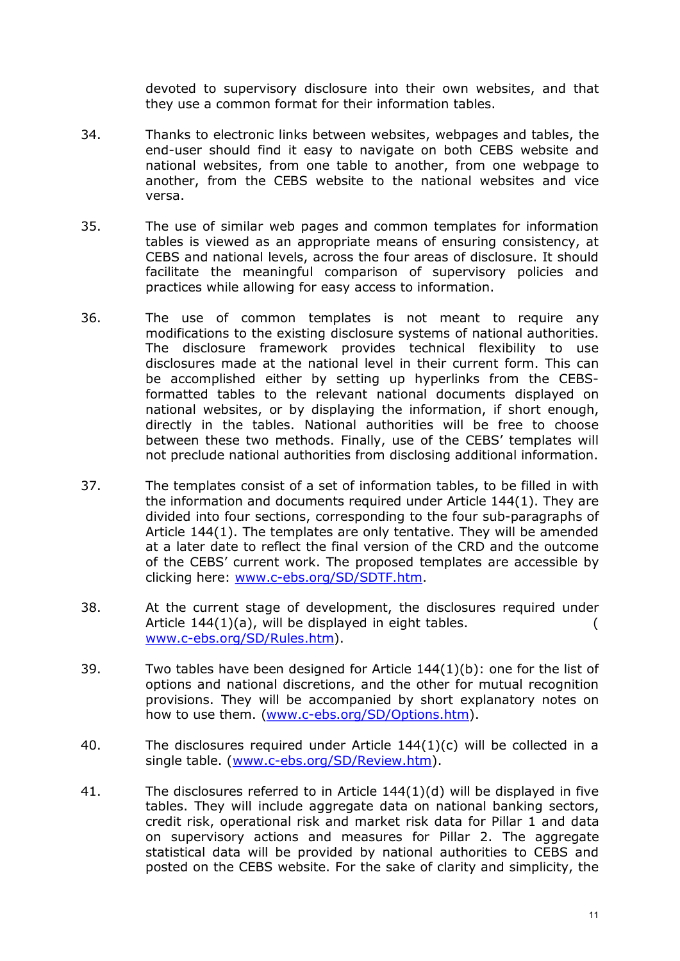devoted to supervisory disclosure into their own websites, and that they use a common format for their information tables.

- 34. Thanks to electronic links between websites, webpages and tables, the end-user should find it easy to navigate on both CEBS website and national websites, from one table to another, from one webpage to another, from the CEBS website to the national websites and vice versa.
- 35. The use of similar web pages and common templates for information tables is viewed as an appropriate means of ensuring consistency, at CEBS and national levels, across the four areas of disclosure. It should facilitate the meaningful comparison of supervisory policies and practices while allowing for easy access to information.
- 36. The use of common templates is not meant to require any modifications to the existing disclosure systems of national authorities. The disclosure framework provides technical flexibility to use disclosures made at the national level in their current form. This can be accomplished either by setting up hyperlinks from the CEBS formatted tables to the relevant national documents displayed on national websites, or by displaying the information, if short enough, directly in the tables. National authorities will be free to choose between these two methods. Finally, use of the CEBS' templates will not preclude national authorities from disclosing additional information.
- 37. The templates consist of a set of information tables, to be filled in with the information and documents required under Article 144(1). They are divided into four sections, corresponding to the four sub-paragraphs of Article 144(1). The templates are only tentative. They will be amended at a later date to reflect the final version of the CRD and the outcome of the CEBS' current work. The proposed templates are accessible by clicking here: www.c-ebs.org/SD/SDTF.htm.
- 38. At the current stage of development, the disclosures required under Article 144(1)(a), will be displayed in eight tables.  $($ www.c-ebs.org/SD/Rules.htm).
- 39. Two tables have been designed for Article 144(1)(b): one for the list of options and national discretions, and the other for mutual recognition provisions. They will be accompanied by short explanatory notes on how to use them. (www.c-ebs.org/SD/Options.htm).
- 40. The disclosures required under Article 144(1)(c) will be collected in a single table. (www.c-ebs.org/SD/Review.htm).
- 41. The disclosures referred to in Article 144(1)(d) will be displayed in five tables. They will include aggregate data on national banking sectors, credit risk, operational risk and market risk data for Pillar 1 and data on supervisory actions and measures for Pillar 2. The aggregate statistical data will be provided by national authorities to CEBS and posted on the CEBS website. For the sake of clarity and simplicity, the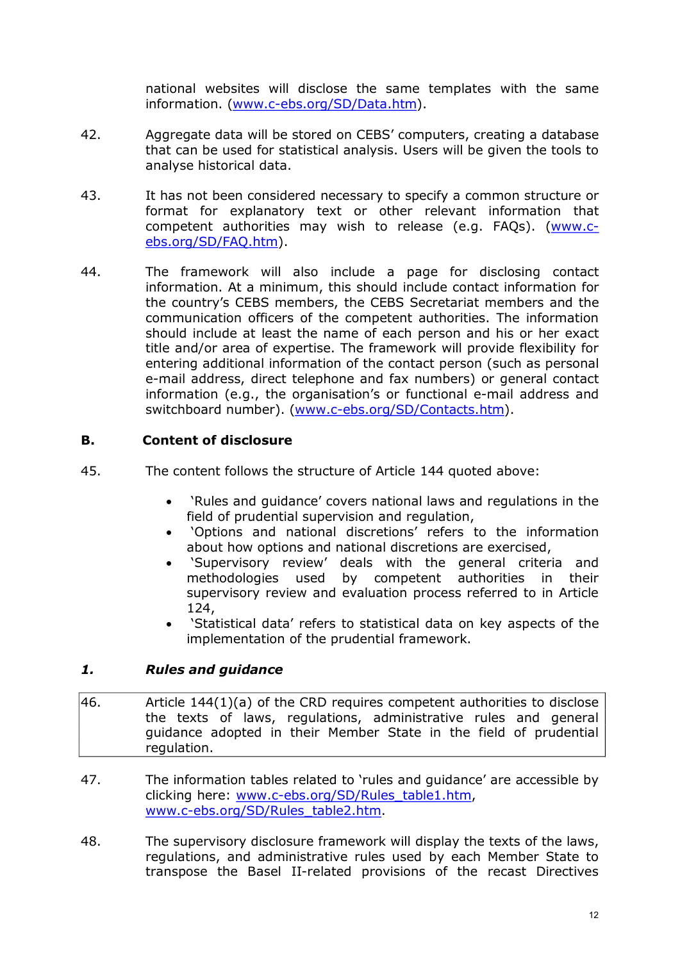national websites will disclose the same templates with the same information. (www.c-ebs.org/SD/Data.htm).

- 42. Aggregate data will be stored on CEBS' computers, creating a database that can be used for statistical analysis. Users will be given the tools to analyse historical data.
- 43. It has not been considered necessary to specify a common structure or format for explanatory text or other relevant information that competent authorities may wish to release (e.g. FAQs). (www.c [ebs.org/SD/FAQ.htm\).](http://www.c-ebs.org/SD/FAQ.htm)
- 44. The framework will also include a page for disclosing contact information. At a minimum, this should include contact information for the country's CEBS members, the CEBS Secretariat members and the communication officers of the competent authorities. The information should include at least the name of each person and his or her exact title and/or area of expertise. The framework will provide flexibility for entering additional information of the contact person (such as personal email address, direct telephone and fax numbers) or general contact information (e.g., the organisation's or functional e-mail address and switchboard number). (www.c-ebs.org/SD/Contacts.htm).

## **B. Content of disclosure**

- 45. The content follows the structure of Article 144 quoted above:
	- · 'Rules and guidance' covers national laws and regulations in the field of prudential supervision and regulation,
	- · 'Options and national discretions' refers to the information about how options and national discretions are exercised,
	- · 'Supervisory review' deals with the general criteria and methodologies used by competent authorities in their supervisory review and evaluation process referred to in Article 124,
	- · 'Statistical data' refers to statistical data on key aspects of the implementation of the prudential framework.

## *1. Rules and guidance*

- 46. Article 144(1)(a) of the CRD requires competent authorities to disclose the texts of laws, regulations, administrative rules and general guidance adopted in their Member State in the field of prudential regulation.
- 47. The information tables related to 'rules and guidance' are accessible by clicking here: www.c-ebs.org/SD/Rules\_table1.htm, www.c-ebs.org/SD/Rules\_table2.htm.
- 48. The supervisory disclosure framework will display the texts of the laws, regulations, and administrative rules used by each Member State to transpose the Basel II-related provisions of the recast Directives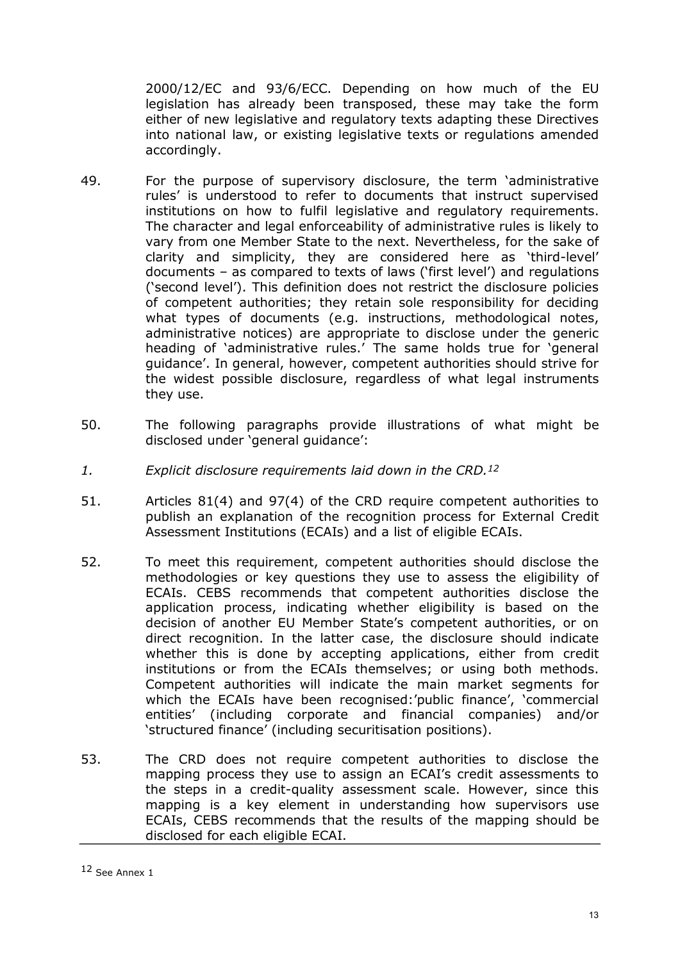2000/12/EC and 93/6/ECC. Depending on how much of the EU legislation has already been transposed, these may take the form either of new legislative and regulatory texts adapting these Directives into national law, or existing legislative texts or regulations amended accordingly.

- 49. For the purpose of supervisory disclosure, the term 'administrative rules' is understood to refer to documents that instruct supervised institutions on how to fulfil legislative and regulatory requirements. The character and legal enforceability of administrative rules is likely to vary from one Member State to the next. Nevertheless, for the sake of clarity and simplicity, they are considered here as 'third-level' documents – as compared to texts of laws ('first level') and regulations ('second level'). This definition does not restrict the disclosure policies of competent authorities; they retain sole responsibility for deciding what types of documents (e.g. instructions, methodological notes, administrative notices) are appropriate to disclose under the generic heading of 'administrative rules.' The same holds true for 'general guidance'. In general, however, competent authorities should strive for the widest possible disclosure, regardless of what legal instruments they use.
- 50. The following paragraphs provide illustrations of what might be disclosed under 'general guidance':
- *1. Explicit disclosure requirements laid down in the CRD. <sup>12</sup>*
- 51. Articles 81(4) and 97(4) of the CRD require competent authorities to publish an explanation of the recognition process for External Credit Assessment Institutions (ECAIs) and a list of eligible ECAIs.
- 52. To meet this requirement, competent authorities should disclose the methodologies or key questions they use to assess the eligibility of ECAIs. CEBS recommends that competent authorities disclose the application process, indicating whether eligibility is based on the decision of another EU Member State's competent authorities, or on direct recognition. In the latter case, the disclosure should indicate whether this is done by accepting applications, either from credit institutions or from the ECAIs themselves; or using both methods. Competent authorities will indicate the main market segments for which the ECAIs have been recognised:'public finance', 'commercial entities' (including corporate and financial companies) and/or 'structured finance' (including securitisation positions).
- 53. The CRD does not require competent authorities to disclose the mapping process they use to assign an ECAI's credit assessments to the steps in a credit-quality assessment scale. However, since this mapping is a key element in understanding how supervisors use ECAIs, CEBS recommends that the results of the mapping should be disclosed for each eligible ECAI.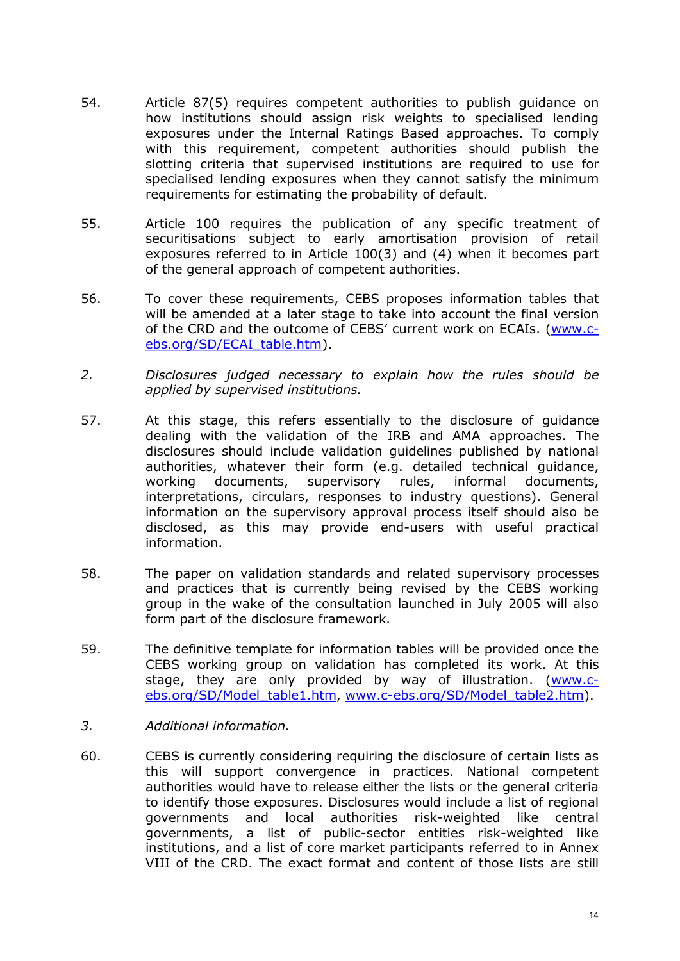- 54. Article 87(5) requires competent authorities to publish guidance on how institutions should assign risk weights to specialised lending exposures under the Internal Ratings Based approaches. To comply with this requirement, competent authorities should publish the slotting criteria that supervised institutions are required to use for specialised lending exposures when they cannot satisfy the minimum requirements for estimating the probability of default.
- 55. Article 100 requires the publication of any specific treatment of securitisations subject to early amortisation provision of retail exposures referred to in Article 100(3) and (4) when it becomes part of the general approach of competent authorities.
- 56. To cover these requirements, CEBS proposes information tables that will be amended at a later stage to take into account the final version of the CRD and the outcome of CEBS' current work on ECAIs. (www.c[ebs.org/SD/ECAI\\_table.htm\).](http://www.c-ebs.org/SD/ECAI_table.htm)
- *2. Disclosures judged necessary to explain how the rules should be applied by supervised institutions.*
- 57. At this stage, this refers essentially to the disclosure of guidance dealing with the validation of the IRB and AMA approaches. The disclosures should include validation guidelines published by national authorities, whatever their form (e.g. detailed technical guidance, working documents, supervisory rules, informal documents, interpretations, circulars, responses to industry questions). General information on the supervisory approval process itself should also be disclosed, as this may provide end-users with useful practical information.
- 58. The paper on validation standards and related supervisory processes and practices that is currently being revised by the CEBS working group in the wake of the consultation launched in July 2005 will also form part of the disclosure framework.
- 59. The definitive template for information tables will be provided once the CEBS working group on validation has completed its work. At this stage, they are only provided by way of illustration. (www.cebs.org/SD/Model\_table1.htm, www.c-ebs.org/SD/Model\_table2.htm).
- *3. Additional information.*
- 60. CEBS is currently considering requiring the disclosure of certain lists as this will support convergence in practices. National competent authorities would have to release either the lists or the general criteria to identify those exposures. Disclosures would include a list of regional governments and local authorities risk-weighted like central governments, a list of public-sector entities risk-weighted like institutions, and a list of core market participants referred to in Annex VIII of the CRD. The exact format and content of those lists are still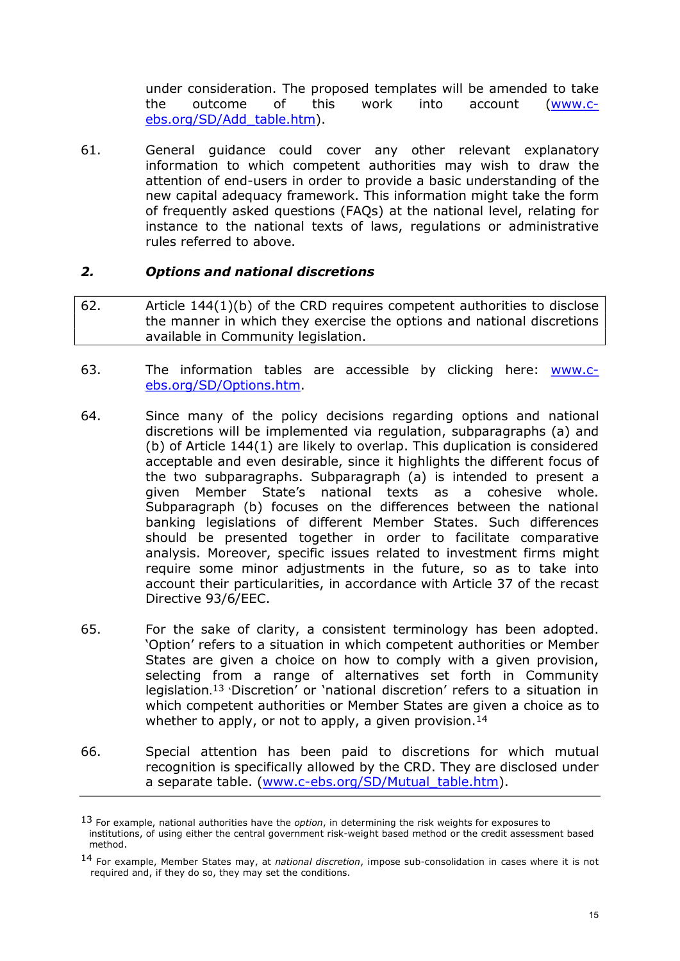under consideration. The proposed templates will be amended to take the outcome of this work into account (<u>www.c-</u> [ebs.org/SD/Add\\_table.htm\).](http://www.c-ebs.org/SD/Add_table.htm)

61. General guidance could cover any other relevant explanatory information to which competent authorities may wish to draw the attention of end-users in order to provide a basic understanding of the new capital adequacy framework. This information might take the form of frequently asked questions (FAQs) at the national level, relating for instance to the national texts of laws, regulations or administrative rules referred to above.

#### *2. Options and national discretions*

- 62. Article 144(1)(b) of the CRD requires competent authorities to disclose the manner in which they exercise the options and national discretions available in Community legislation.
- 63. The information tables are accessible by clicking here: www.c[ebs.org/SD/Options.htm.](http://www.c-ebs.org/SD/Options.htm)
- 64. Since many of the policy decisions regarding options and national discretions will be implemented via regulation, subparagraphs (a) and (b) of Article 144(1) are likely to overlap. This duplication is considered acceptable and even desirable, since it highlights the different focus of the two subparagraphs. Subparagraph (a) is intended to present a given Member State's national texts as a cohesive whole. Subparagraph (b) focuses on the differences between the national banking legislations of different Member States. Such differences should be presented together in order to facilitate comparative analysis. Moreover, specific issues related to investment firms might require some minor adjustments in the future, so as to take into account their particularities, in accordance with Article 37 of the recast Directive 93/6/EEC.
- 65. For the sake of clarity, a consistent terminology has been adopted. 'Option' refers to a situation in which competent authorities or Member States are given a choice on how to comply with a given provision, selecting from a range of alternatives set forth in Community legislation.<sup>13</sup> 'Discretion' or 'national discretion' refers to a situation in which competent authorities or Member States are given a choice as to whether to apply, or not to apply, a given provision.<sup>14</sup>
- 66. Special attention has been paid to discretions for which mutual recognition is specifically allowed by the CRD. They are disclosed under a separate table. (www.c-ebs.org/SD/Mutual\_table.htm).

<sup>13</sup> For example, national authorities have the *option*, in determining the risk weights for exposures to institutions, of using either the central government risk-weight based method or the credit assessment based method.

<sup>14</sup> For example, Member States may, at *national discretion*, impose sub-consolidation in cases where it is not required and, if they do so, they may set the conditions.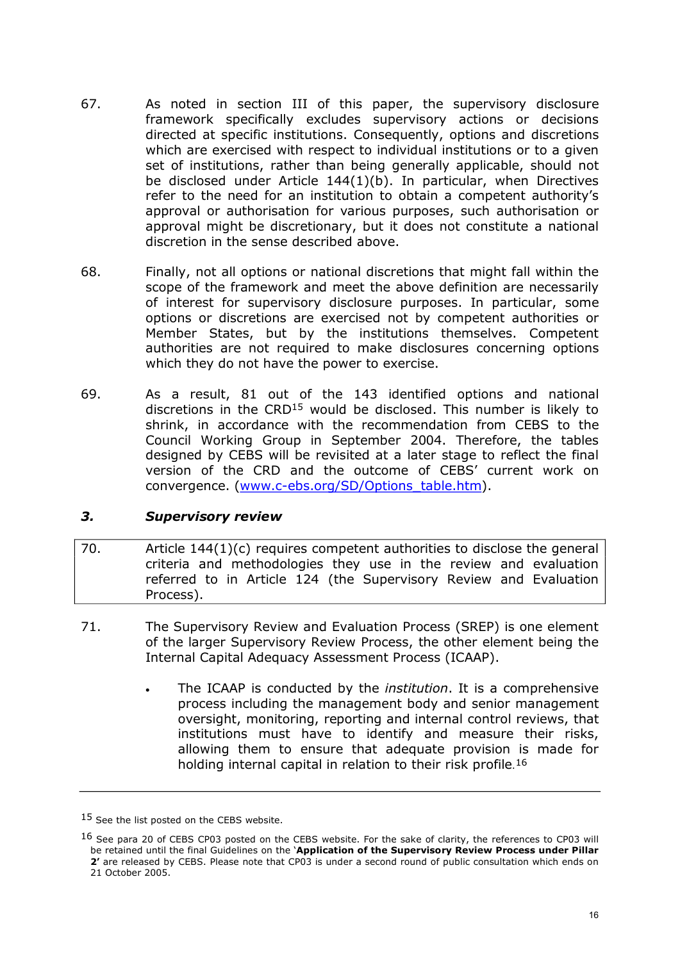- 67. As noted in section III of this paper, the supervisory disclosure framework specifically excludes supervisory actions or decisions directed at specific institutions. Consequently, options and discretions which are exercised with respect to individual institutions or to a given set of institutions, rather than being generally applicable, should not be disclosed under Article 144(1)(b). In particular, when Directives refer to the need for an institution to obtain a competent authority's approval or authorisation for various purposes, such authorisation or approval might be discretionary, but it does not constitute a national discretion in the sense described above.
- 68. Finally, not all options or national discretions that might fall within the scope of the framework and meet the above definition are necessarily of interest for supervisory disclosure purposes. In particular, some options or discretions are exercised not by competent authorities or Member States, but by the institutions themselves. Competent authorities are not required to make disclosures concerning options which they do not have the power to exercise.
- 69. As a result, 81 out of the 143 identified options and national discretions in the CRD<sup>15</sup> would be disclosed. This number is likely to shrink, in accordance with the recommendation from CEBS to the Council Working Group in September 2004. Therefore, the tables designed by CEBS will be revisited at a later stage to reflect the final version of the CRD and the outcome of CEBS' current work on convergence. (www.c-ebs.org/SD/Options\_table.htm).

## *3. Supervisory review*

- 70.  $\blacksquare$  Article 144(1)(c) requires competent authorities to disclose the general criteria and methodologies they use in the review and evaluation referred to in Article 124 (the Supervisory Review and Evaluation Process).
- 71. The Supervisory Review and Evaluation Process (SREP) is one element of the larger Supervisory Review Process, the other element being the Internal Capital Adequacy Assessment Process (ICAAP).
	- · The ICAAP is conducted by the *institution*. It is a comprehensive process including the management body and senior management oversight, monitoring, reporting and internal control reviews, that institutions must have to identify and measure their risks, allowing them to ensure that adequate provision is made for holding internal capital in relation to their risk profile.<sup>16</sup>

<sup>15</sup> See the list posted on the CEBS website.

<sup>&</sup>lt;sup>16</sup> See para 20 of CEBS CP03 posted on the CEBS website. For the sake of clarity, the references to CP03 will be retained until the final Guidelines on the '**Application of the Supervisory Review Process under Pillar 2'** are released by CEBS. Please note that CP03 is under a second round of public consultation which ends on 21 October 2005.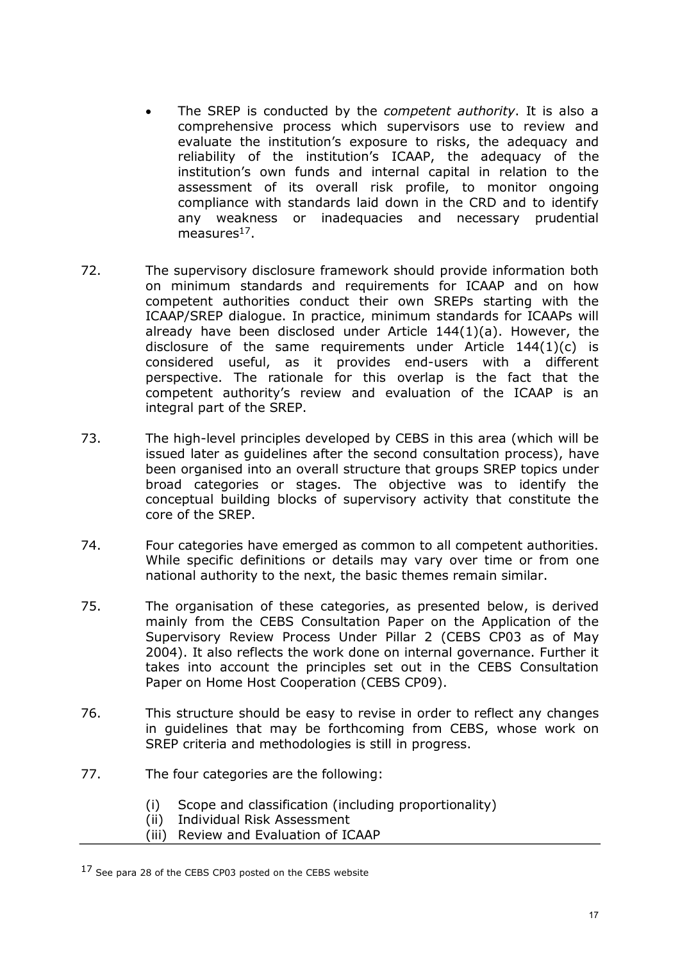- · The SREP is conducted by the *competent authority*. It is also a comprehensive process which supervisors use to review and evaluate the institution's exposure to risks, the adequacy and reliability of the institution's ICAAP, the adequacy of the institution's own funds and internal capital in relation to the assessment of its overall risk profile, to monitor ongoing compliance with standards laid down in the CRD and to identify any weakness or inadequacies and necessary prudential measures $17$ .
- 72. The supervisory disclosure framework should provide information both on minimum standards and requirements for ICAAP and on how competent authorities conduct their own SREPs starting with the ICAAP/SREP dialogue. In practice, minimum standards for ICAAPs will already have been disclosed under Article 144(1)(a). However, the disclosure of the same requirements under Article  $144(1)(c)$  is considered useful, as it provides end-users with a different perspective. The rationale for this overlap is the fact that the competent authority's review and evaluation of the ICAAP is an integral part of the SREP.
- 73. The high-level principles developed by CEBS in this area (which will be issued later as guidelines after the second consultation process), have been organised into an overall structure that groups SREP topics under broad categories or stages. The objective was to identify the conceptual building blocks of supervisory activity that constitute the core of the SREP.
- 74. Four categories have emerged as common to all competent authorities. While specific definitions or details may vary over time or from one national authority to the next, the basic themes remain similar.
- 75. The organisation of these categories, as presented below, is derived mainly from the CEBS Consultation Paper on the Application of the Supervisory Review Process Under Pillar 2 (CEBS CP03 as of May 2004). It also reflects the work done on internal governance. Further it takes into account the principles set out in the CEBS Consultation Paper on Home Host Cooperation (CEBS CP09).
- 76. This structure should be easy to revise in order to reflect any changes in guidelines that may be forthcoming from CEBS, whose work on SREP criteria and methodologies is still in progress.
- 77. The four categories are the following:
	- (i) Scope and classification (including proportionality)
	- (ii) Individual Risk Assessment
	- (iii) Review and Evaluation of ICAAP

<sup>&</sup>lt;sup>17</sup> See para 28 of the CEBS CP03 posted on the CEBS website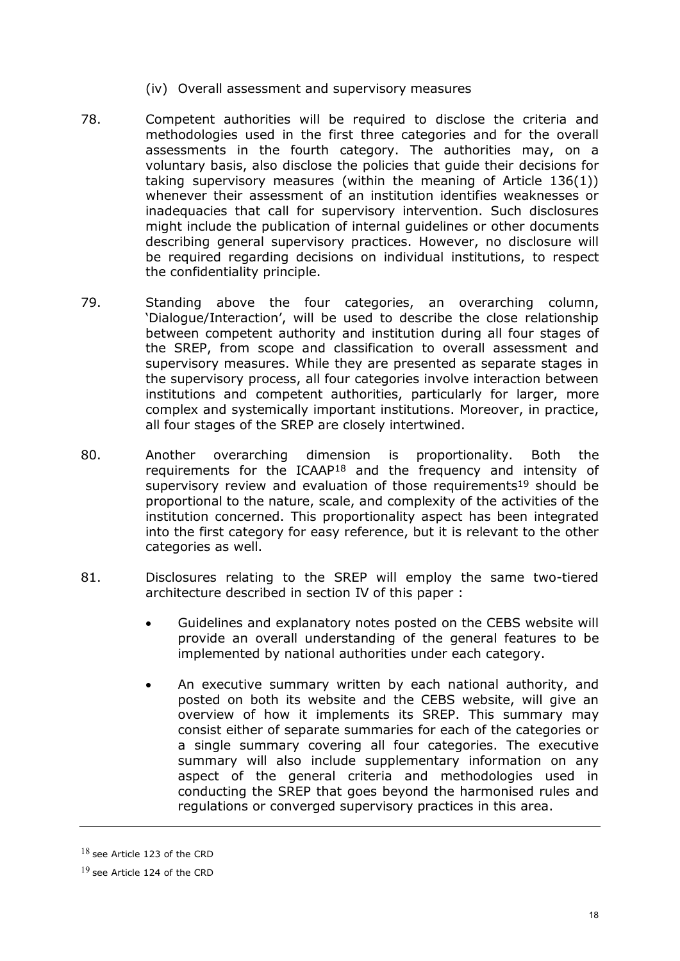- (iv) Overall assessment and supervisory measures
- 78. Competent authorities will be required to disclose the criteria and methodologies used in the first three categories and for the overall assessments in the fourth category. The authorities may, on a voluntary basis, also disclose the policies that guide their decisions for taking supervisory measures (within the meaning of Article 136(1)) whenever their assessment of an institution identifies weaknesses or inadequacies that call for supervisory intervention. Such disclosures might include the publication of internal guidelines or other documents describing general supervisory practices. However, no disclosure will be required regarding decisions on individual institutions, to respect the confidentiality principle.
- 79. Standing above the four categories, an overarching column, 'Dialogue/Interaction', will be used to describe the close relationship between competent authority and institution during all four stages of the SREP, from scope and classification to overall assessment and supervisory measures. While they are presented as separate stages in the supervisory process, all four categories involve interaction between institutions and competent authorities, particularly for larger, more complex and systemically important institutions. Moreover, in practice, all four stages of the SREP are closely intertwined.
- 80. Another overarching dimension is proportionality. Both the requirements for the  $ICAAP^{18}$  and the frequency and intensity of supervisory review and evaluation of those requirements<sup>19</sup> should be proportional to the nature, scale, and complexity of the activities of the institution concerned. This proportionality aspect has been integrated into the first category for easy reference, but it is relevant to the other categories as well.
- 81. Disclosures relating to the SREP will employ the same two-tiered architecture described in section IV of this paper :
	- · Guidelines and explanatory notes posted on the CEBS website will provide an overall understanding of the general features to be implemented by national authorities under each category.
	- An executive summary written by each national authority, and posted on both its website and the CEBS website, will give an overview of how it implements its SREP. This summary may consist either of separate summaries for each of the categories or a single summary covering all four categories. The executive summary will also include supplementary information on any aspect of the general criteria and methodologies used in conducting the SREP that goes beyond the harmonised rules and regulations or converged supervisory practices in this area.

 $18$  see Article 123 of the CRD

<sup>19</sup> see Article 124 of the CRD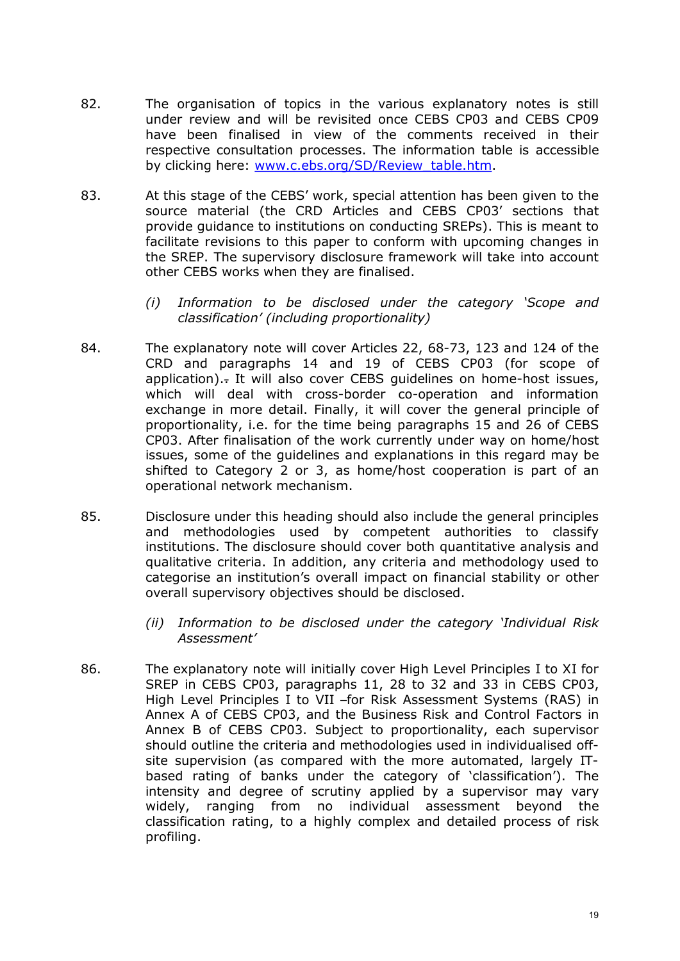- 82. The organisation of topics in the various explanatory notes is still under review and will be revisited once CEBS CP03 and CEBS CP09 have been finalised in view of the comments received in their respective consultation processes. The information table is accessible by clicking here: [www.c.ebs.org/SD/Review\\_table.htm.](http://www.c.ebs.org/SD/Review_table.htm)
- 83. At this stage of the CEBS' work, special attention has been given to the source material (the CRD Articles and CEBS CP03' sections that provide guidance to institutions on conducting SREPs). This is meant to facilitate revisions to this paper to conform with upcoming changes in the SREP. The supervisory disclosure framework will take into account other CEBS works when they are finalised.
	- *(i) Information to be disclosed under the category 'Scope and classification' (including proportionality)*
- 84. The explanatory note will cover Articles 22, 68-73, 123 and 124 of the CRD and paragraphs 14 and 19 of CEBS CP03 (for scope of application).- It will also cover CEBS quidelines on home-host issues, which will deal with cross-border co-operation and information exchange in more detail. Finally, it will cover the general principle of proportionality, i.e. for the time being paragraphs 15 and 26 of CEBS CP03. After finalisation of the work currently under way on home/host issues, some of the guidelines and explanations in this regard may be shifted to Category 2 or 3, as home/host cooperation is part of an operational network mechanism.
- 85. Disclosure under this heading should also include the general principles and methodologies used by competent authorities to classify institutions. The disclosure should cover both quantitative analysis and qualitative criteria. In addition, any criteria and methodology used to categorise an institution's overall impact on financial stability or other overall supervisory objectives should be disclosed.
	- *(ii) Information to be disclosed under the category 'Individual Risk Assessment'*
- 86. The explanatory note will initially cover High Level Principles I to XI for SREP in CEBS CP03, paragraphs 11, 28 to 32 and 33 in CEBS CP03, High Level Principles I to VII -for Risk Assessment Systems (RAS) in Annex A of CEBS CP03, and the Business Risk and Control Factors in Annex B of CEBS CP03. Subject to proportionality, each supervisor should outline the criteria and methodologies used in individualised off site supervision (as compared with the more automated, largely ITbased rating of banks under the category of 'classification'). The intensity and degree of scrutiny applied by a supervisor may vary widely, ranging from no individual assessment beyond the classification rating, to a highly complex and detailed process of risk profiling.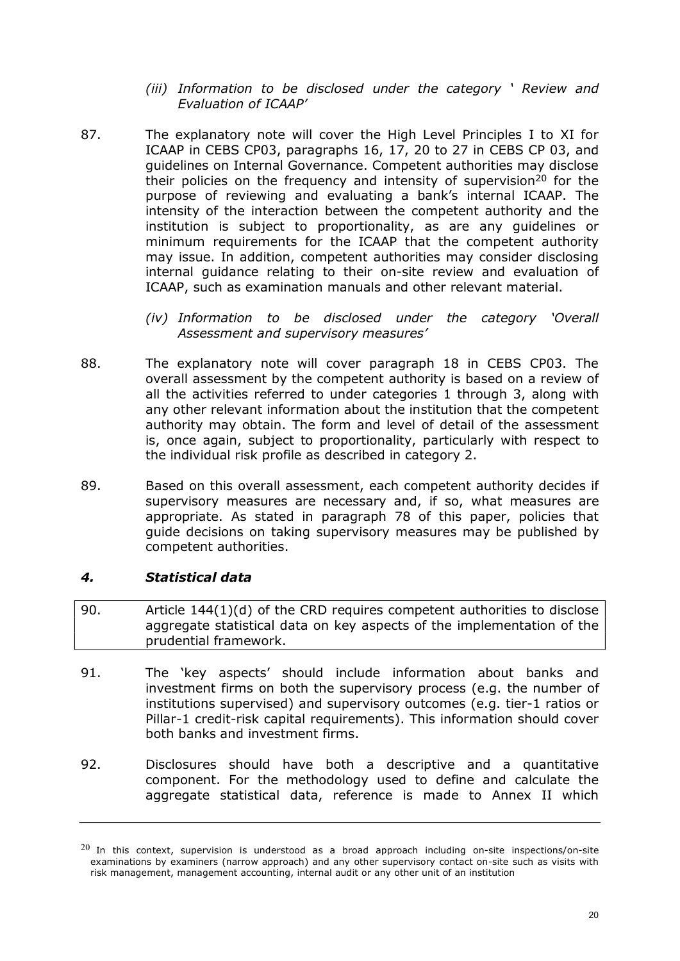- *(iii) Information to be disclosed under the category ' Review and Evaluation of ICAAP'*
- 87. The explanatory note will cover the High Level Principles I to XI for ICAAP in CEBS CP03, paragraphs 16, 17, 20 to 27 in CEBS CP 03, and guidelines on Internal Governance. Competent authorities may disclose their policies on the frequency and intensity of supervision<sup>20</sup> for the purpose of reviewing and evaluating a bank's internal ICAAP. The intensity of the interaction between the competent authority and the institution is subject to proportionality, as are any guidelines or minimum requirements for the ICAAP that the competent authority may issue. In addition, competent authorities may consider disclosing internal guidance relating to their on-site review and evaluation of ICAAP, such as examination manuals and other relevant material.
	- *(iv) Information to be disclosed under the category 'Overall Assessment and supervisory measures'*
- 88. The explanatory note will cover paragraph 18 in CEBS CP03. The overall assessment by the competent authority is based on a review of all the activities referred to under categories 1 through 3, along with any other relevant information about the institution that the competent authority may obtain. The form and level of detail of the assessment is, once again, subject to proportionality, particularly with respect to the individual risk profile as described in category 2.
- 89. Based on this overall assessment, each competent authority decides if supervisory measures are necessary and, if so, what measures are appropriate. As stated in paragraph 78 of this paper, policies that guide decisions on taking supervisory measures may be published by competent authorities.

## *4. Statistical data*

- 90. Article 144(1)(d) of the CRD requires competent authorities to disclose aggregate statistical data on key aspects of the implementation of the prudential framework.
- 91. The 'key aspects' should include information about banks and investment firms on both the supervisory process (e.g. the number of institutions supervised) and supervisory outcomes (e.g. tier-1 ratios or Pillar-1 credit-risk capital requirements). This information should cover both banks and investment firms.
- 92. Disclosures should have both a descriptive and a quantitative component. For the methodology used to define and calculate the aggregate statistical data, reference is made to Annex II which

 $^{20}$  In this context, supervision is understood as a broad approach including on-site inspections/on-site examinations by examiners (narrow approach) and any other supervisory contact on-site such as visits with risk management, management accounting, internal audit or any other unit of an institution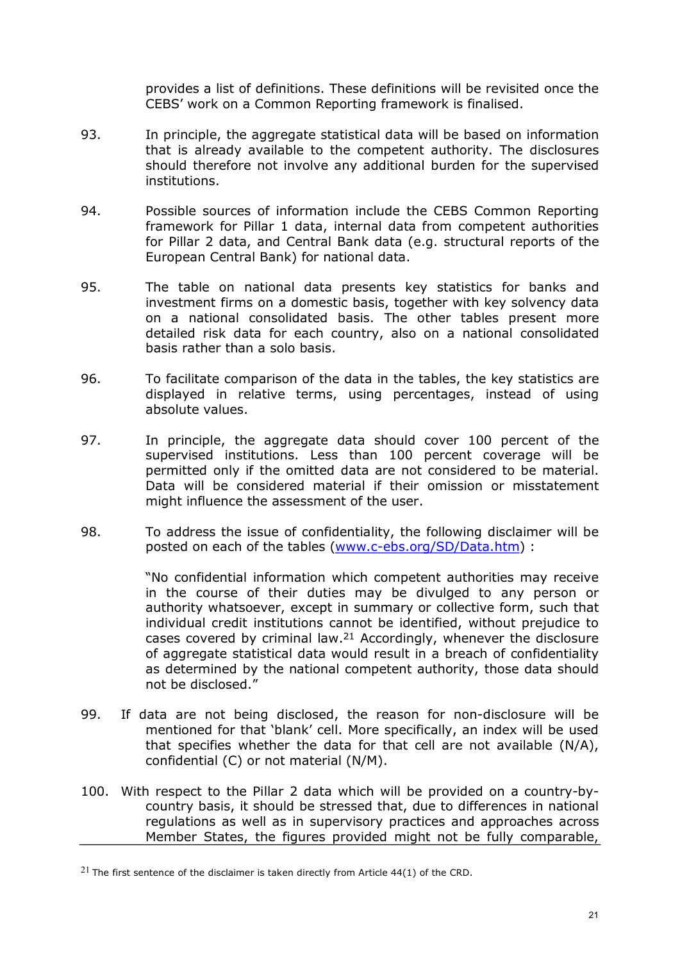provides a list of definitions. These definitions will be revisited once the CEBS' work on a Common Reporting framework is finalised.

- 93. In principle, the aggregate statistical data will be based on information that is already available to the competent authority. The disclosures should therefore not involve any additional burden for the supervised institutions.
- 94. Possible sources of information include the CEBS Common Reporting framework for Pillar 1 data, internal data from competent authorities for Pillar 2 data, and Central Bank data (e.g. structural reports of the European Central Bank) for national data.
- 95. The table on national data presents key statistics for banks and investment firms on a domestic basis, together with key solvency data on a national consolidated basis. The other tables present more detailed risk data for each country, also on a national consolidated basis rather than a solo basis.
- 96. To facilitate comparison of the data in the tables, the key statistics are displayed in relative terms, using percentages, instead of using absolute values.
- 97. In principle, the aggregate data should cover 100 percent of the supervised institutions. Less than 100 percent coverage will be permitted only if the omitted data are not considered to be material. Data will be considered material if their omission or misstatement might influence the assessment of the user.
- 98. To address the issue of confidentiality, the following disclaimer will be posted on each of the tables (www.c-ebs.org/SD/Data.htm) :

"No confidential information which competent authorities may receive in the course of their duties may be divulged to any person or authority whatsoever, except in summary or collective form, such that individual credit institutions cannot be identified, without prejudice to cases covered by criminal law. <sup>21</sup> Accordingly, whenever the disclosure of aggregate statistical data would result in a breach of confidentiality as determined by the national competent authority, those data should not be disclosed."

- 99. If data are not being disclosed, the reason for non-disclosure will be mentioned for that 'blank' cell. More specifically, an index will be used that specifies whether the data for that cell are not available  $(N/A)$ , confidential (C) or not material (N/M).
- 100. With respect to the Pillar 2 data which will be provided on a country-bycountry basis, it should be stressed that, due to differences in national regulations as well as in supervisory practices and approaches across Member States, the figures provided might not be fully comparable,

 $21$  The first sentence of the disclaimer is taken directly from Article 44(1) of the CRD.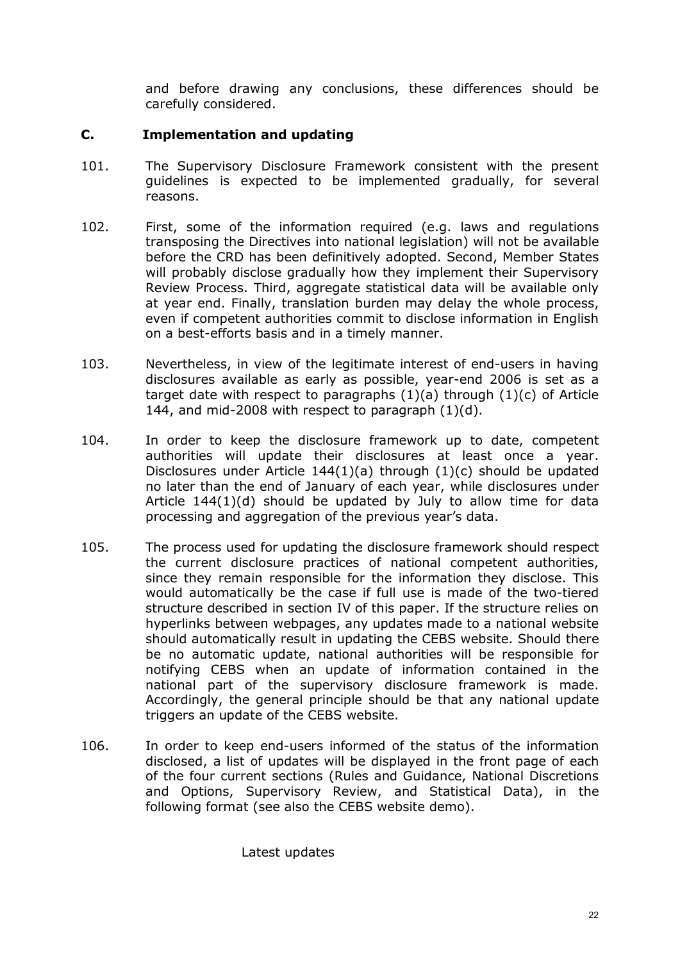and before drawing any conclusions, these differences should be carefully considered.

## **C. Implementation and updating**

- 101. The Supervisory Disclosure Framework consistent with the present guidelines is expected to be implemented gradually, for several reasons.
- 102. First, some of the information required (e.g. laws and regulations transposing the Directives into national legislation) will not be available before the CRD has been definitively adopted. Second, Member States will probably disclose gradually how they implement their Supervisory Review Process. Third, aggregate statistical data will be available only at year end. Finally, translation burden may delay the whole process, even if competent authorities commit to disclose information in English on a best-efforts basis and in a timely manner.
- 103. Nevertheless, in view of the legitimate interest of end-users in having disclosures available as early as possible, year-end 2006 is set as a target date with respect to paragraphs  $(1)(a)$  through  $(1)(c)$  of Article 144, and mid-2008 with respect to paragraph  $(1)(d)$ .
- 104. In order to keep the disclosure framework up to date, competent authorities will update their disclosures at least once a year. Disclosures under Article 144(1)(a) through (1)(c) should be updated no later than the end of January of each year, while disclosures under Article  $144(1)(d)$  should be updated by July to allow time for data processing and aggregation of the previous year's data.
- 105. The process used for updating the disclosure framework should respect the current disclosure practices of national competent authorities, since they remain responsible for the information they disclose. This would automatically be the case if full use is made of the two-tiered structure described in section IV of this paper. If the structure relies on hyperlinks between webpages, any updates made to a national website should automatically result in updating the CEBS website. Should there be no automatic update, national authorities will be responsible for notifying CEBS when an update of information contained in the national part of the supervisory disclosure framework is made. Accordingly, the general principle should be that any national update triggers an update of the CEBS website.
- 106. In order to keep end-users informed of the status of the information disclosed, a list of updates will be displayed in the front page of each of the four current sections (Rules and Guidance, National Discretions and Options, Supervisory Review, and Statistical Data), in the following format (see also the CEBS website demo).

Latest updates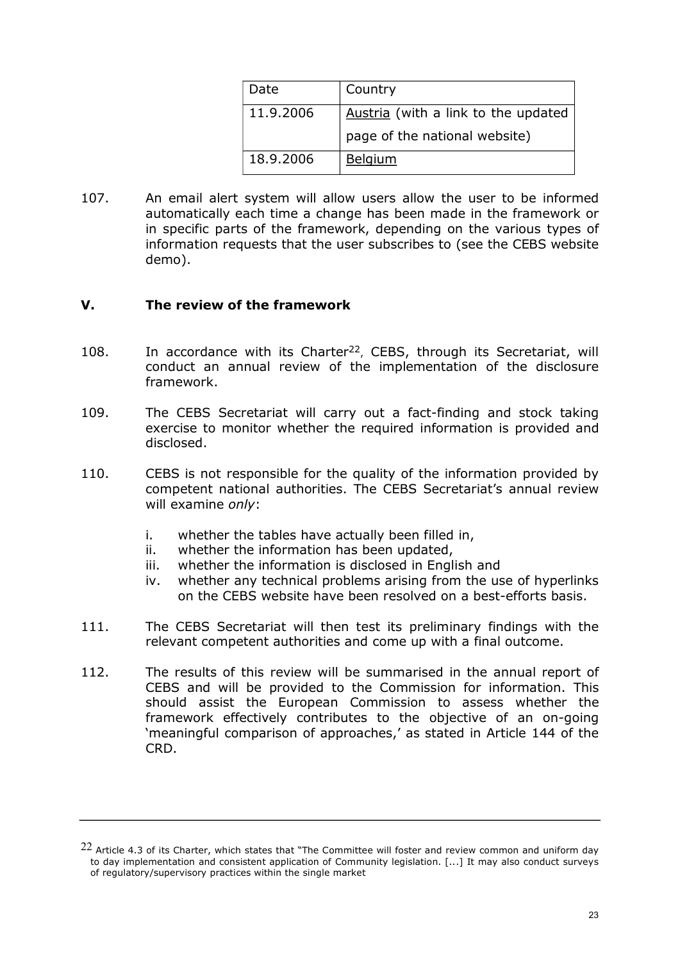| Date      | Country                             |
|-----------|-------------------------------------|
| 11.9.2006 | Austria (with a link to the updated |
|           | page of the national website)       |
| 18.9.2006 | <b>Belgium</b>                      |

107. An email alert system will allow users allow the user to be informed automatically each time a change has been made in the framework or in specific parts of the framework, depending on the various types of information requests that the user subscribes to (see the CEBS website demo).

#### **V. The review of the framework**

- 108. In accordance with its Charter<sup>22</sup>, CEBS, through its Secretariat, will conduct an annual review of the implementation of the disclosure framework.
- 109. The CEBS Secretariat will carry out a fact-finding and stock taking exercise to monitor whether the required information is provided and disclosed.
- 110. CEBS is not responsible for the quality of the information provided by competent national authorities. The CEBS Secretariat's annual review will examine *only*:
	- i. whether the tables have actually been filled in,
	- ii. whether the information has been updated,
	- iii. whether the information is disclosed in English and
	- iv. whether any technical problems arising from the use of hyperlinks on the CEBS website have been resolved on a best-efforts basis.
- 111. The CEBS Secretariat will then test its preliminary findings with the relevant competent authorities and come up with a final outcome.
- 112. The results of this review will be summarised in the annual report of CEBS and will be provided to the Commission for information. This should assist the European Commission to assess whether the framework effectively contributes to the objective of an on-going 'meaningful comparison of approaches,' as stated in Article 144 of the CRD.

 $^{22}$  Article 4.3 of its Charter, which states that "The Committee will foster and review common and uniform day to day implementation and consistent application of Community legislation. [...] It may also conduct surveys of regulatory/supervisory practices within the single market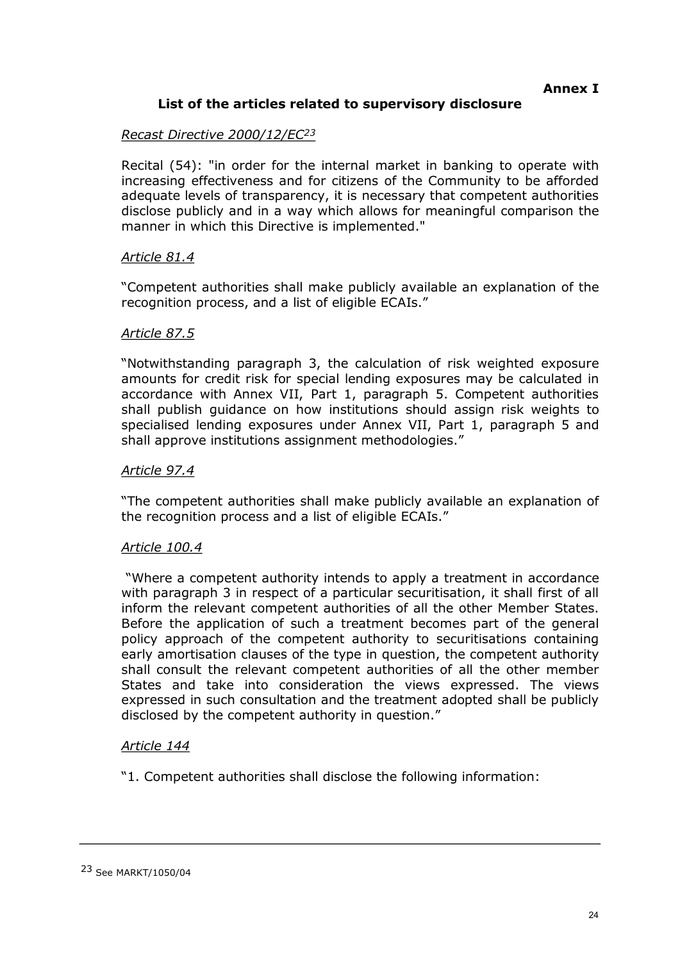## **List of the articles related to supervisory disclosure**

## *Recast Directive 2000/12/EC<sup>23</sup>*

Recital (54): "in order for the internal market in banking to operate with increasing effectiveness and for citizens of the Community to be afforded adequate levels of transparency, it is necessary that competent authorities disclose publicly and in a way which allows for meaningful comparison the manner in which this Directive is implemented."

#### *Article 81.4*

"Competent authorities shall make publicly available an explanation of the recognition process, and a list of eligible ECAIs."

#### *Article 87.5*

"Notwithstanding paragraph 3, the calculation of risk weighted exposure amounts for credit risk for special lending exposures may be calculated in accordance with Annex VII, Part 1, paragraph 5. Competent authorities shall publish guidance on how institutions should assign risk weights to specialised lending exposures under Annex VII, Part 1, paragraph 5 and shall approve institutions assignment methodologies."

#### *Article 97.4*

"The competent authorities shall make publicly available an explanation of the recognition process and a list of eligible ECAIs."

#### *Article 100.4*

"Where a competent authority intends to apply a treatment in accordance with paragraph 3 in respect of a particular securitisation, it shall first of all inform the relevant competent authorities of all the other Member States. Before the application of such a treatment becomes part of the general policy approach of the competent authority to securitisations containing early amortisation clauses of the type in question, the competent authority shall consult the relevant competent authorities of all the other member States and take into consideration the views expressed. The views expressed in such consultation and the treatment adopted shall be publicly disclosed by the competent authority in question."

#### *Article 144*

"1. Competent authorities shall disclose the following information: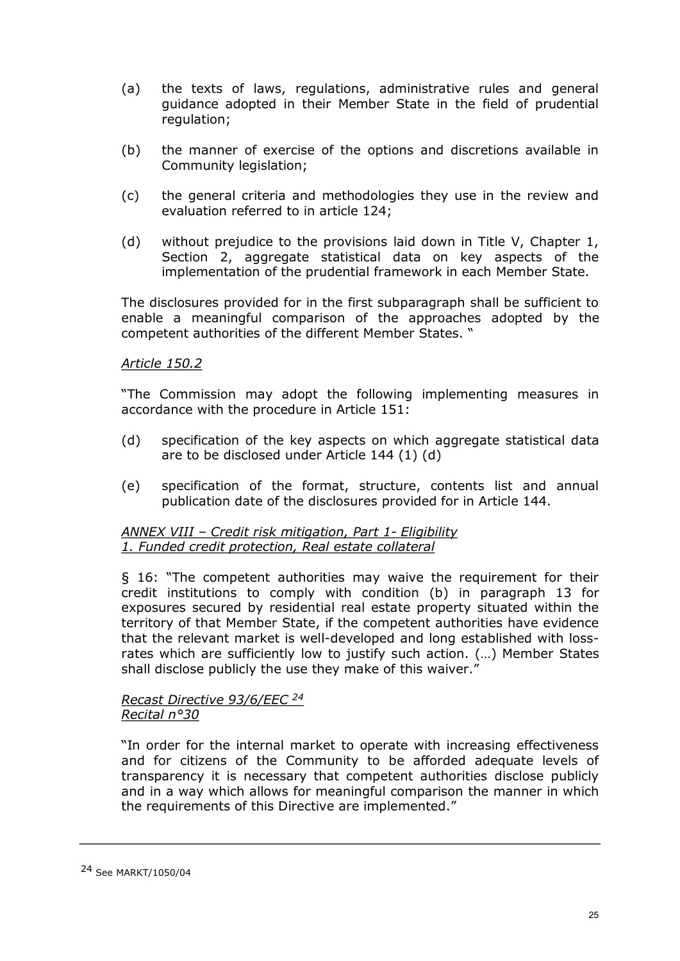- (a) the texts of laws, regulations, administrative rules and general guidance adopted in their Member State in the field of prudential regulation;
- (b) the manner of exercise of the options and discretions available in Community legislation;
- (c) the general criteria and methodologies they use in the review and evaluation referred to in article 124;
- (d) without prejudice to the provisions laid down in Title V, Chapter 1, Section 2, aggregate statistical data on key aspects of the implementation of the prudential framework in each Member State.

The disclosures provided for in the first subparagraph shall be sufficient to enable a meaningful comparison of the approaches adopted by the competent authorities of the different Member States. "

#### *Article 150.2*

"The Commission may adopt the following implementing measures in accordance with the procedure in Article 151:

- (d) specification of the key aspects on which aggregate statistical data are to be disclosed under Article 144 (1) (d)
- (e) specification of the format, structure, contents list and annual publication date of the disclosures provided for in Article 144.

#### *ANNEX VIII – Credit risk mitigation, Part 1 Eligibility 1. Funded credit protection, Real estate collateral*

§ 16: "The competent authorities may waive the requirement for their credit institutions to comply with condition (b) in paragraph 13 for exposures secured by residential real estate property situated within the territory of that Member State, if the competent authorities have evidence that the relevant market is well-developed and long established with lossrates which are sufficiently low to justify such action. (…) Member States shall disclose publicly the use they make of this waiver."

#### *Recast Directive 93/6/EEC <sup>24</sup> Recital n°30*

"In order for the internal market to operate with increasing effectiveness and for citizens of the Community to be afforded adequate levels of transparency it is necessary that competent authorities disclose publicly and in a way which allows for meaningful comparison the manner in which the requirements of this Directive are implemented."

#### 24 See MARKT/1050/04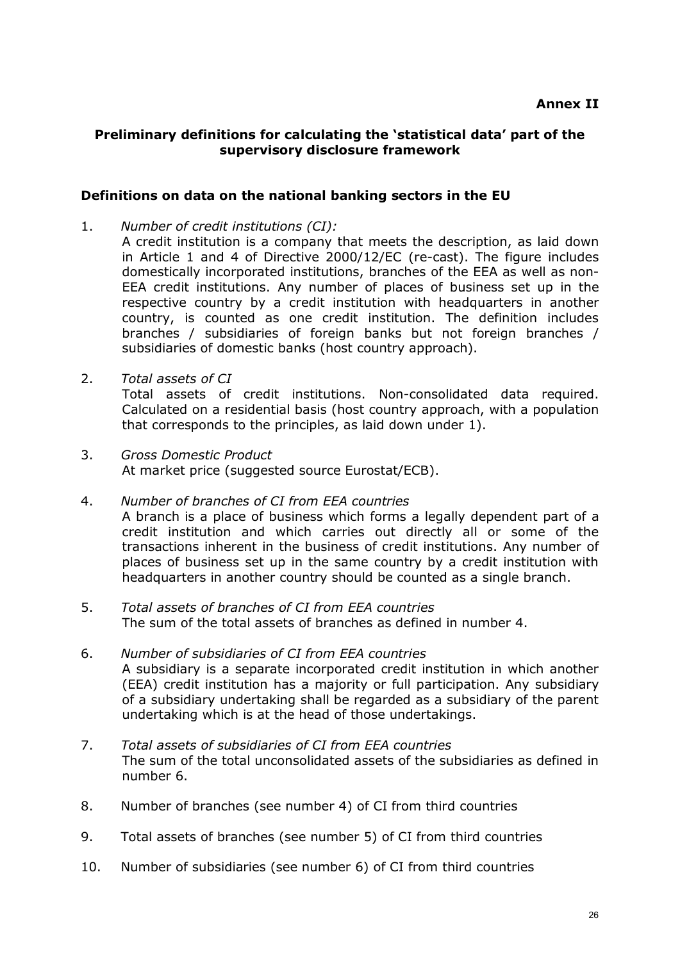## **Preliminary definitions for calculating the 'statistical data' part of the supervisory disclosure framework**

## **Definitions on data on the national banking sectors in the EU**

- 1. *Number of credit institutions (CI):*
- A credit institution is a company that meets the description, as laid down in Article 1 and 4 of Directive 2000/12/EC (re-cast). The figure includes domestically incorporated institutions, branches of the EEA as well as non EEA credit institutions. Any number of places of business set up in the respective country by a credit institution with headquarters in another country, is counted as one credit institution. The definition includes branches / subsidiaries of foreign banks but not foreign branches / subsidiaries of domestic banks (host country approach).
- 2. *Total assets of CI* Total assets of credit institutions. Non-consolidated data required. Calculated on a residential basis (host country approach, with a population that corresponds to the principles, as laid down under 1).
- 3. *Gross Domestic Product* At market price (suggested source Eurostat/ECB).
- 4. *Number of branches of CI from EEA countries* A branch is a place of business which forms a legally dependent part of a credit institution and which carries out directly all or some of the transactions inherent in the business of credit institutions. Any number of places of business set up in the same country by a credit institution with headquarters in another country should be counted as a single branch.
- 5. *Total assets of branches of CI from EEA countries* The sum of the total assets of branches as defined in number 4.
- 6. *Number of subsidiaries of CI from EEA countries* A subsidiary is a separate incorporated credit institution in which another (EEA) credit institution has a majority or full participation. Any subsidiary of a subsidiary undertaking shall be regarded as a subsidiary of the parent undertaking which is at the head of those undertakings.
- 7. *Total assets of subsidiaries of CI from EEA countries* The sum of the total unconsolidated assets of the subsidiaries as defined in number 6.
- 8. Number of branches (see number 4) of CI from third countries
- 9. Total assets of branches (see number 5) of CI from third countries
- 10. Number of subsidiaries (see number 6) of CI from third countries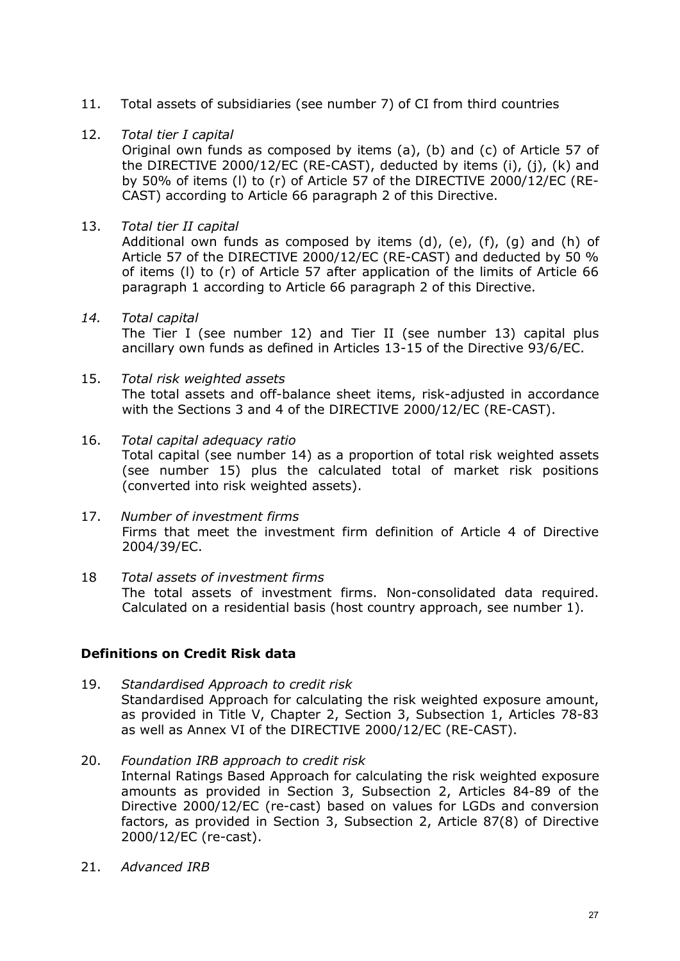- 11. Total assets of subsidiaries (see number 7) of CI from third countries
- 12. *Total tier I capital*

Original own funds as composed by items (a), (b) and (c) of Article 57 of the DIRECTIVE 2000/12/EC (RE-CAST), deducted by items (i), (j), (k) and by 50% of items (l) to (r) of Article 57 of the DIRECTIVE 2000/12/EC (RE CAST) according to Article 66 paragraph 2 of this Directive.

13. *Total tier II capital*

Additional own funds as composed by items  $(d)$ ,  $(e)$ ,  $(f)$ ,  $(g)$  and  $(h)$  of Article 57 of the DIRECTIVE 2000/12/EC (RE-CAST) and deducted by 50 % of items (l) to (r) of Article 57 after application of the limits of Article 66 paragraph 1 according to Article 66 paragraph 2 of this Directive.

*14. Total capital*

The Tier I (see number 12) and Tier II (see number 13) capital plus ancillary own funds as defined in Articles 13-15 of the Directive 93/6/EC.

- 15. *Total risk weighted assets* The total assets and off-balance sheet items, risk-adjusted in accordance with the Sections 3 and 4 of the DIRECTIVE 2000/12/EC (RE-CAST).
- 16. *Total capital adequacy ratio* Total capital (see number 14) as a proportion of total risk weighted assets (see number 15) plus the calculated total of market risk positions (converted into risk weighted assets).
- 17. *Number of investment firms* Firms that meet the investment firm definition of Article 4 of Directive 2004/39/EC.
- 18 *Total assets of investment firms* The total assets of investment firms. Non-consolidated data required. Calculated on a residential basis (host country approach, see number 1).

## **Definitions on Credit Risk data**

- 19. *Standardised Approach to credit risk* Standardised Approach for calculating the risk weighted exposure amount, as provided in Title V, Chapter 2, Section 3, Subsection 1, Articles 78-83 as well as Annex VI of the DIRECTIVE 2000/12/EC (RE-CAST).
- 20. *Foundation IRB approach to credit risk* Internal Ratings Based Approach for calculating the risk weighted exposure amounts as provided in Section 3, Subsection 2, Articles 84-89 of the Directive 2000/12/EC (re-cast) based on values for LGDs and conversion factors, as provided in Section 3, Subsection 2, Article 87(8) of Directive 2000/12/EC (re-cast).
- 21. *Advanced IRB*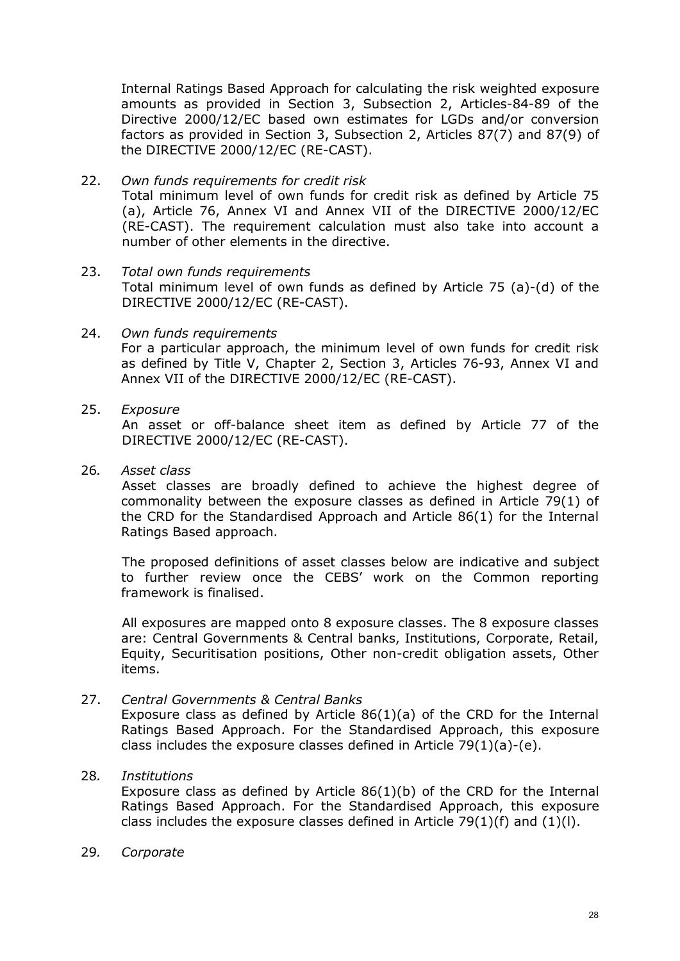Internal Ratings Based Approach for calculating the risk weighted exposure amounts as provided in Section 3, Subsection 2, Articles-84-89 of the Directive 2000/12/EC based own estimates for LGDs and/or conversion factors as provided in Section 3, Subsection 2, Articles 87(7) and 87(9) of the DIRECTIVE 2000/12/EC (RE-CAST).

- 22. *Own funds requirements for credit risk* Total minimum level of own funds for credit risk as defined by Article 75 (a), Article 76, Annex VI and Annex VII of the DIRECTIVE 2000/12/EC (RE-CAST). The requirement calculation must also take into account a number of other elements in the directive.
- 23. *Total own funds requirements* Total minimum level of own funds as defined by Article  $75$  (a)-(d) of the DIRECTIVE 2000/12/EC (RE-CAST).
- 24. *Own funds requirements* For a particular approach, the minimum level of own funds for credit risk as defined by Title V, Chapter 2, Section 3, Articles 76-93, Annex VI and Annex VII of the DIRECTIVE 2000/12/EC (RE-CAST).
- 25. *Exposure*

An asset or off-balance sheet item as defined by Article 77 of the DIRECTIVE 2000/12/EC (RE-CAST).

26*. Asset class*

Asset classes are broadly defined to achieve the highest degree of commonality between the exposure classes as defined in Article 79(1) of the CRD for the Standardised Approach and Article 86(1) for the Internal Ratings Based approach.

The proposed definitions of asset classes below are indicative and subject to further review once the CEBS' work on the Common reporting framework is finalised.

All exposures are mapped onto 8 exposure classes. The 8 exposure classes are: Central Governments & Central banks, Institutions, Corporate, Retail, Equity, Securitisation positions, Other non-credit obligation assets, Other items.

27. *Central Governments & Central Banks*

Exposure class as defined by Article  $86(1)(a)$  of the CRD for the Internal Ratings Based Approach. For the Standardised Approach, this exposure class includes the exposure classes defined in Article  $79(1)(a)-(e)$ .

28*. Institutions*

Exposure class as defined by Article 86(1)(b) of the CRD for the Internal Ratings Based Approach. For the Standardised Approach, this exposure class includes the exposure classes defined in Article  $79(1)(f)$  and  $(1)(l)$ .

29*. Corporate*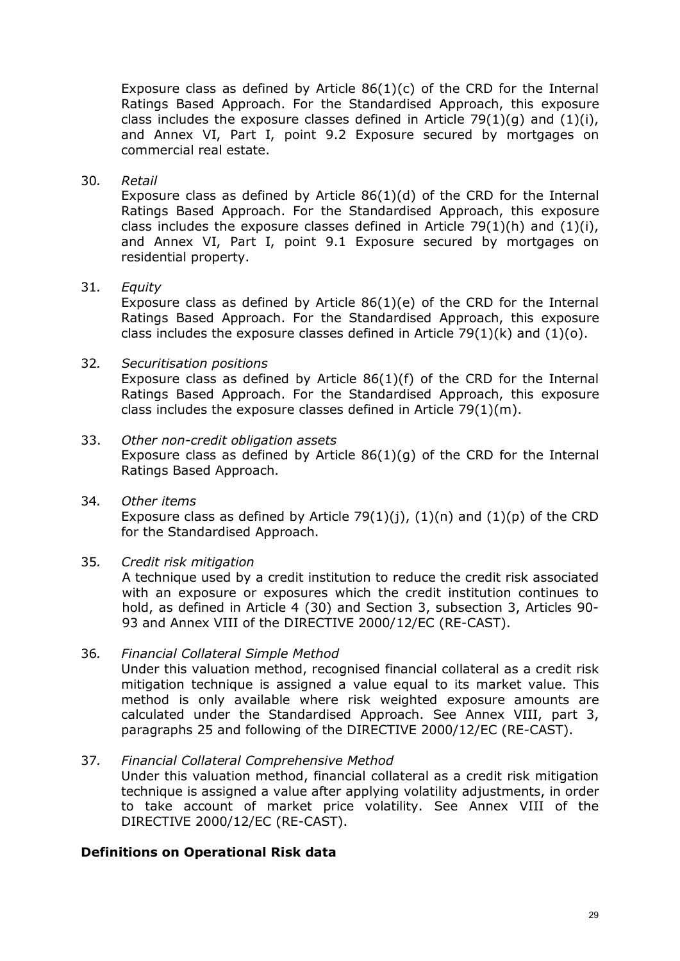Exposure class as defined by Article  $86(1)(c)$  of the CRD for the Internal Ratings Based Approach. For the Standardised Approach, this exposure class includes the exposure classes defined in Article 79(1)(q) and (1)(i), and Annex VI, Part I, point 9.2 Exposure secured by mortgages on commercial real estate.

#### 30*. Retail*

Exposure class as defined by Article 86(1)(d) of the CRD for the Internal Ratings Based Approach. For the Standardised Approach, this exposure class includes the exposure classes defined in Article 79(1)(h) and  $(1)(i)$ , and Annex VI, Part I, point 9.1 Exposure secured by mortgages on residential property.

#### 31*. Equity*

Exposure class as defined by Article 86(1)(e) of the CRD for the Internal Ratings Based Approach. For the Standardised Approach, this exposure class includes the exposure classes defined in Article 79(1)(k) and (1)(o).

#### 32*. Securitisation positions*

Exposure class as defined by Article 86(1)(f) of the CRD for the Internal Ratings Based Approach. For the Standardised Approach, this exposure class includes the exposure classes defined in Article 79(1)(m).

## 33. Other non-credit obligation assets

Exposure class as defined by Article  $86(1)(q)$  of the CRD for the Internal Ratings Based Approach.

34*. Other items* Exposure class as defined by Article 79(1)(j),  $(1)(n)$  and  $(1)(p)$  of the CRD for the Standardised Approach.

## 35*. Credit risk mitigation*

A technique used by a credit institution to reduce the credit risk associated with an exposure or exposures which the credit institution continues to hold, as defined in Article 4 (30) and Section 3, subsection 3, Articles 90 93 and Annex VIII of the DIRECTIVE 2000/12/EC (RE-CAST).

#### 36*. Financial Collateral Simple Method*

Under this valuation method, recognised financial collateral as a credit risk mitigation technique is assigned a value equal to its market value. This method is only available where risk weighted exposure amounts are calculated under the Standardised Approach. See Annex VIII, part 3, paragraphs 25 and following of the DIRECTIVE 2000/12/EC (RE-CAST).

## 37*. Financial Collateral Comprehensive Method*

Under this valuation method, financial collateral as a credit risk mitigation technique is assigned a value after applying volatility adjustments, in order to take account of market price volatility. See Annex VIII of the DIRECTIVE 2000/12/EC (RE-CAST).

## **Definitions on Operational Risk data**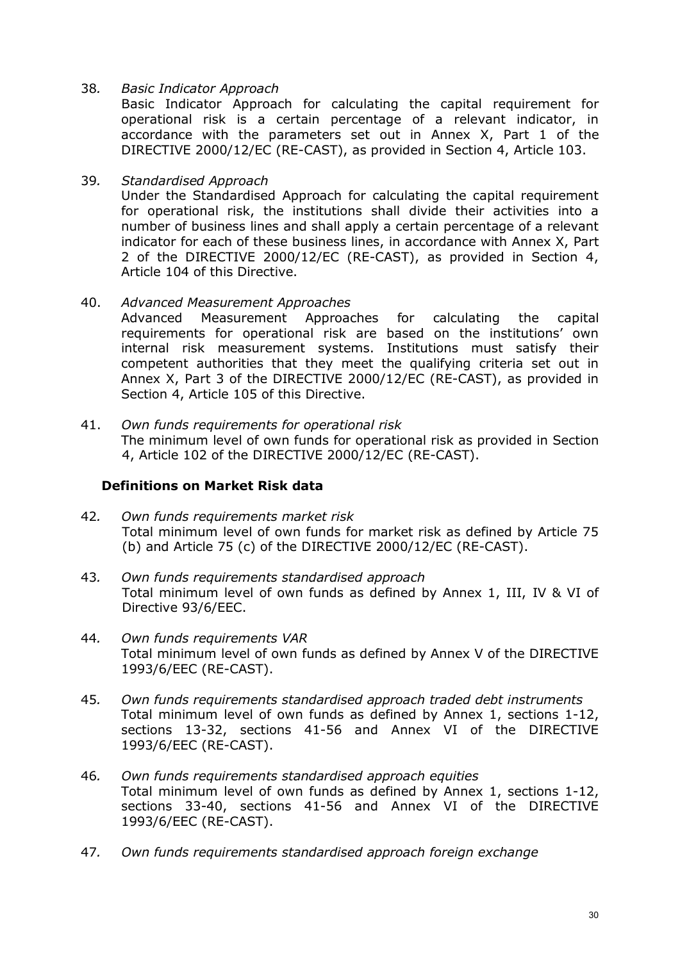38*. Basic Indicator Approach*

Basic Indicator Approach for calculating the capital requirement for operational risk is a certain percentage of a relevant indicator, in accordance with the parameters set out in Annex X, Part 1 of the DIRECTIVE 2000/12/EC (RE-CAST), as provided in Section 4, Article 103.

39*. Standardised Approach*

Under the Standardised Approach for calculating the capital requirement for operational risk, the institutions shall divide their activities into a number of business lines and shall apply a certain percentage of a relevant indicator for each of these business lines, in accordance with Annex X, Part 2 of the DIRECTIVE 2000/12/EC (RE-CAST), as provided in Section 4, Article 104 of this Directive.

40. *Advanced Measurement Approaches*

Advanced Measurement Approaches for calculating the capital requirements for operational risk are based on the institutions' own internal risk measurement systems. Institutions must satisfy their competent authorities that they meet the qualifying criteria set out in Annex X, Part 3 of the DIRECTIVE 2000/12/EC (RE-CAST), as provided in Section 4, Article 105 of this Directive.

41. *Own funds requirements for operational risk* The minimum level of own funds for operational risk as provided in Section 4, Article 102 of the DIRECTIVE 2000/12/EC (RE-CAST).

#### **Definitions on Market Risk data**

- 42*. Own funds requirements market risk* Total minimum level of own funds for market risk as defined by Article 75 (b) and Article  $75$  (c) of the DIRECTIVE 2000/12/EC (RE-CAST).
- 43*. Own funds requirements standardised approach* Total minimum level of own funds as defined by Annex 1, III, IV & VI of Directive 93/6/EEC.
- 44*. Own funds requirements VAR* Total minimum level of own funds as defined by Annex V of the DIRECTIVE 1993/6/EEC (RE-CAST).
- 45*. Own funds requirements standardised approach traded debt instruments* Total minimum level of own funds as defined by Annex 1, sections 1-12, sections 13-32, sections 41-56 and Annex VI of the DIRECTIVE 1993/6/EEC (RE-CAST).
- 46*. Own funds requirements standardised approach equities* Total minimum level of own funds as defined by Annex 1, sections 1-12, sections 33-40, sections 41-56 and Annex VI of the DIRECTIVE 1993/6/EEC (RE-CAST).
- 47*. Own funds requirements standardised approach foreign exchange*